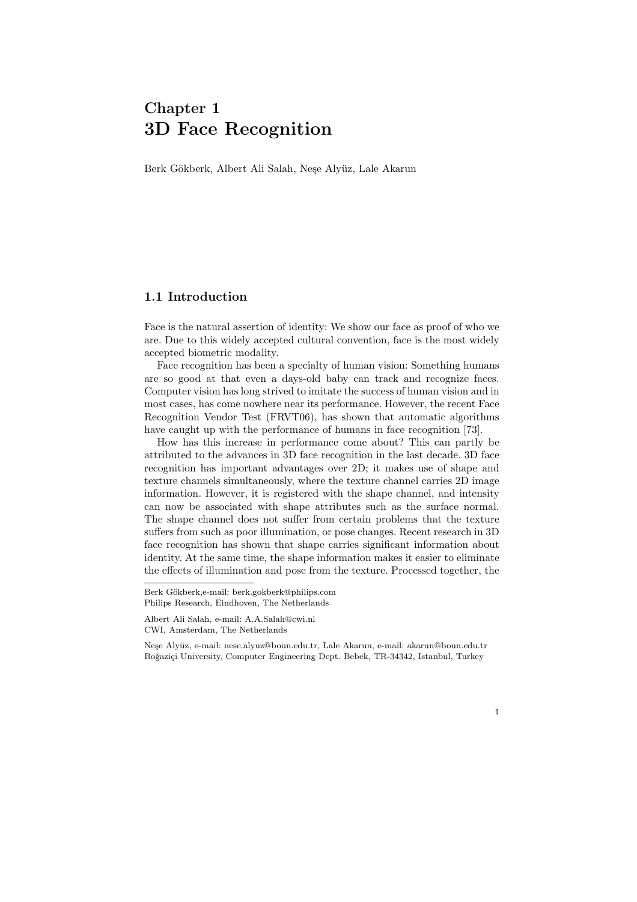# Chapter 1 3D Face Recognition

Berk Gökberk, Albert Ali Salah, Neşe Alyüz, Lale Akarun

# 1.1 Introduction

Face is the natural assertion of identity: We show our face as proof of who we are. Due to this widely accepted cultural convention, face is the most widely accepted biometric modality.

Face recognition has been a specialty of human vision: Something humans are so good at that even a days-old baby can track and recognize faces. Computer vision has long strived to imitate the success of human vision and in most cases, has come nowhere near its performance. However, the recent Face Recognition Vendor Test (FRVT06), has shown that automatic algorithms have caught up with the performance of humans in face recognition [73].

How has this increase in performance come about? This can partly be attributed to the advances in 3D face recognition in the last decade. 3D face recognition has important advantages over 2D; it makes use of shape and texture channels simultaneously, where the texture channel carries 2D image information. However, it is registered with the shape channel, and intensity can now be associated with shape attributes such as the surface normal. The shape channel does not suffer from certain problems that the texture suffers from such as poor illumination, or pose changes. Recent research in 3D face recognition has shown that shape carries significant information about identity. At the same time, the shape information makes it easier to eliminate the effects of illumination and pose from the texture. Processed together, the

Berk Gökberk,e-mail: berk.gokberk@philips.com Philips Research, Eindhoven, The Netherlands

Albert Ali Salah, e-mail: A.A.Salah@cwi.nl CWI, Amsterdam, The Netherlands

Neşe Alyüz, e-mail: nese.alyuz@boun.edu.tr, Lale Akarun, e-mail: akarun@boun.edu.tr Boğaziçi University, Computer Engineering Dept. Bebek, TR-34342, Istanbul, Turkey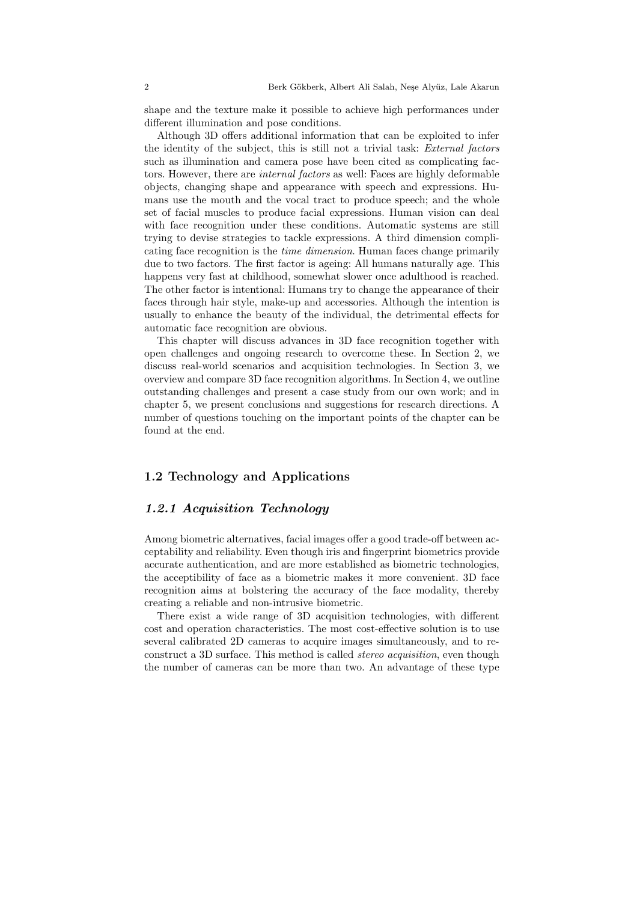shape and the texture make it possible to achieve high performances under different illumination and pose conditions.

Although 3D offers additional information that can be exploited to infer the identity of the subject, this is still not a trivial task: External factors such as illumination and camera pose have been cited as complicating factors. However, there are internal factors as well: Faces are highly deformable objects, changing shape and appearance with speech and expressions. Humans use the mouth and the vocal tract to produce speech; and the whole set of facial muscles to produce facial expressions. Human vision can deal with face recognition under these conditions. Automatic systems are still trying to devise strategies to tackle expressions. A third dimension complicating face recognition is the time dimension. Human faces change primarily due to two factors. The first factor is ageing: All humans naturally age. This happens very fast at childhood, somewhat slower once adulthood is reached. The other factor is intentional: Humans try to change the appearance of their faces through hair style, make-up and accessories. Although the intention is usually to enhance the beauty of the individual, the detrimental effects for automatic face recognition are obvious.

This chapter will discuss advances in 3D face recognition together with open challenges and ongoing research to overcome these. In Section 2, we discuss real-world scenarios and acquisition technologies. In Section 3, we overview and compare 3D face recognition algorithms. In Section 4, we outline outstanding challenges and present a case study from our own work; and in chapter 5, we present conclusions and suggestions for research directions. A number of questions touching on the important points of the chapter can be found at the end.

# 1.2 Technology and Applications

# 1.2.1 Acquisition Technology

Among biometric alternatives, facial images offer a good trade-off between acceptability and reliability. Even though iris and fingerprint biometrics provide accurate authentication, and are more established as biometric technologies, the acceptibility of face as a biometric makes it more convenient. 3D face recognition aims at bolstering the accuracy of the face modality, thereby creating a reliable and non-intrusive biometric.

There exist a wide range of 3D acquisition technologies, with different cost and operation characteristics. The most cost-effective solution is to use several calibrated 2D cameras to acquire images simultaneously, and to reconstruct a 3D surface. This method is called stereo acquisition, even though the number of cameras can be more than two. An advantage of these type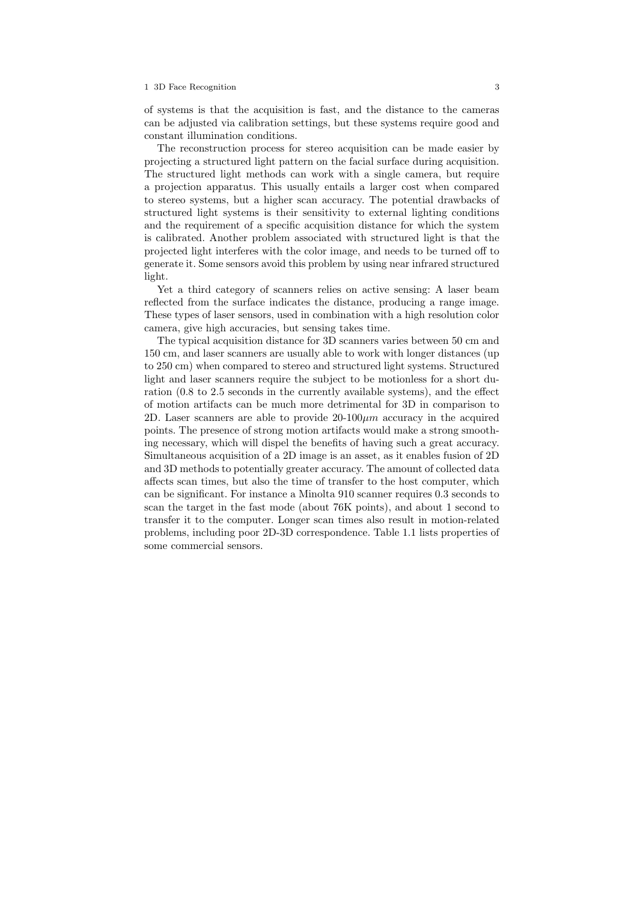of systems is that the acquisition is fast, and the distance to the cameras can be adjusted via calibration settings, but these systems require good and constant illumination conditions.

The reconstruction process for stereo acquisition can be made easier by projecting a structured light pattern on the facial surface during acquisition. The structured light methods can work with a single camera, but require a projection apparatus. This usually entails a larger cost when compared to stereo systems, but a higher scan accuracy. The potential drawbacks of structured light systems is their sensitivity to external lighting conditions and the requirement of a specific acquisition distance for which the system is calibrated. Another problem associated with structured light is that the projected light interferes with the color image, and needs to be turned off to generate it. Some sensors avoid this problem by using near infrared structured light.

Yet a third category of scanners relies on active sensing: A laser beam reflected from the surface indicates the distance, producing a range image. These types of laser sensors, used in combination with a high resolution color camera, give high accuracies, but sensing takes time.

The typical acquisition distance for 3D scanners varies between 50 cm and 150 cm, and laser scanners are usually able to work with longer distances (up to 250 cm) when compared to stereo and structured light systems. Structured light and laser scanners require the subject to be motionless for a short duration (0.8 to 2.5 seconds in the currently available systems), and the effect of motion artifacts can be much more detrimental for 3D in comparison to 2D. Laser scanners are able to provide  $20-100 \mu m$  accuracy in the acquired points. The presence of strong motion artifacts would make a strong smoothing necessary, which will dispel the benefits of having such a great accuracy. Simultaneous acquisition of a 2D image is an asset, as it enables fusion of 2D and 3D methods to potentially greater accuracy. The amount of collected data affects scan times, but also the time of transfer to the host computer, which can be significant. For instance a Minolta 910 scanner requires 0.3 seconds to scan the target in the fast mode (about 76K points), and about 1 second to transfer it to the computer. Longer scan times also result in motion-related problems, including poor 2D-3D correspondence. Table 1.1 lists properties of some commercial sensors.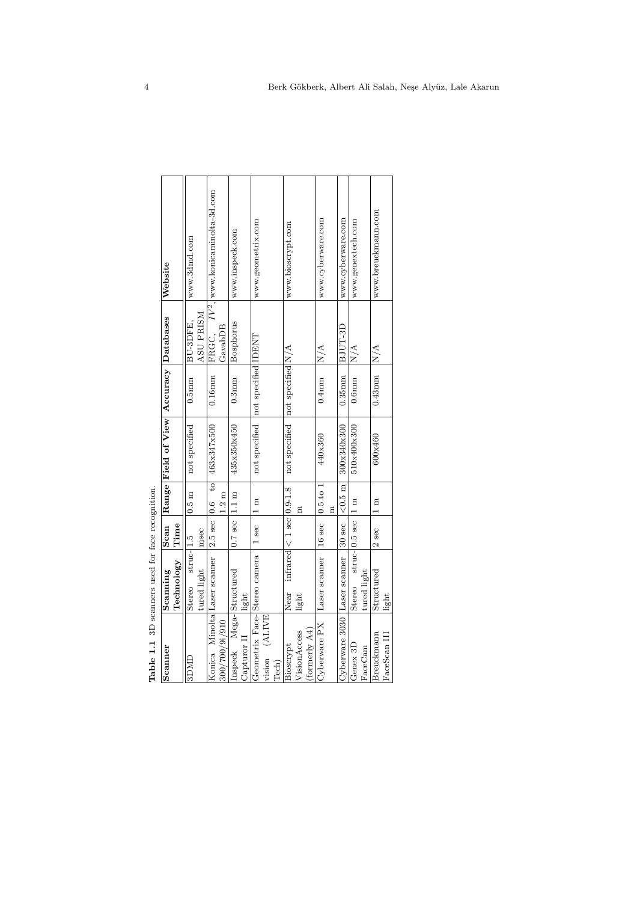| Table 1.1 3D scanners used for face recognition. |                       |                                            |                                  |                                        |                     |               |                                                  |
|--------------------------------------------------|-----------------------|--------------------------------------------|----------------------------------|----------------------------------------|---------------------|---------------|--------------------------------------------------|
| Scanner                                          | Scanning              | Scan                                       |                                  | Range Field of View Accuracy Databases |                     |               | Website                                          |
|                                                  | Technology            | Time                                       |                                  |                                        |                     |               |                                                  |
| 3DMD                                             | $struc-1.5$<br>Stereo |                                            | $0.5$ m                          | not specified                          | $0.5$ mm            | BU-3DFE.      | www.3dmd.com                                     |
|                                                  | tured light           | msec                                       |                                  |                                        |                     | ASU PRISM     |                                                  |
| Konica Minolta Laser scanner                     |                       | $2.5$ sec                                  | $\overline{c}$<br>$\frac{6}{10}$ | 463x347x500                            | $0.16$ mm           |               | FRGC, IV <sup>2</sup> , www.konicaminolta-3d.com |
| 300/700/9i/910                                   |                       |                                            | $1.2 \text{ m}$                  |                                        |                     | GavabDB       |                                                  |
| Inspeck Mega-Structured                          |                       | $0.7$ sec                                  | $1.1 \text{ m}$                  | 435x350x450                            | $0.3$ mm            | Bosphorus     | www.inspeck.com                                  |
| Capturor II                                      | light                 |                                            |                                  |                                        |                     |               |                                                  |
| Geometrix Face-Stereo camera                     |                       | 1 sec                                      | 1 m                              | not specified                          | not specified IDENT |               | www.geometrix.com                                |
| vision (ALIVE                                    |                       |                                            |                                  |                                        |                     |               |                                                  |
| Tech)                                            |                       |                                            |                                  |                                        |                     |               |                                                  |
| Bioscrypt                                        | Near                  | $inf \text{ared} < 1 \text{ sec}$ [0.9-1.8 |                                  | not specified   not specified N/A      |                     |               | www.bioscrypt.com                                |
| VisionAccess                                     | light                 |                                            | E                                |                                        |                     |               |                                                  |
| $\frac{1}{2}$ (formerly $AA$ )                   |                       |                                            |                                  |                                        |                     |               |                                                  |
| Cyberware PX                                     | Laser scanner         | 16 sec                                     | $0.5$ to $1$                     | 440x360                                | $0.4$ mm            | $\frac{A}{N}$ | www.cyberware.com                                |
|                                                  |                       |                                            | Ξ                                |                                        |                     |               |                                                  |
| Cyberware 3030                                   | Laser scanner         | 30 sec                                     | $<0.5$ m                         | 300x340x300                            | $0.35$ mm           | BJUT-3D       | www.cyberware.com                                |
| Genex 3D                                         | Stereo                | $struc-$ 0.5 sec                           | $\mathbb{I}$                     | 510x400x300                            | $0.6$ mm            | $\frac{A}{N}$ | www.genextech.com                                |
| FaceCam                                          | tured light           |                                            |                                  |                                        |                     |               |                                                  |
| Breuckmann                                       | Structured            | $2$ sec                                    | 1 m                              | 600x460                                | $0.43$ mm           | $\frac{A}{N}$ | www.breuckmann.com                               |
| FaceScan III                                     | light                 |                                            |                                  |                                        |                     |               |                                                  |

| J |
|---|
|   |
| j |
|   |
|   |
| i |
| ¢ |
|   |
|   |
|   |
|   |
|   |
| ¢ |
|   |
|   |
| ì |
|   |
|   |
| i |
|   |
|   |
|   |
| Ë |
|   |
|   |
|   |
|   |
|   |
|   |
|   |
|   |
| ć |
|   |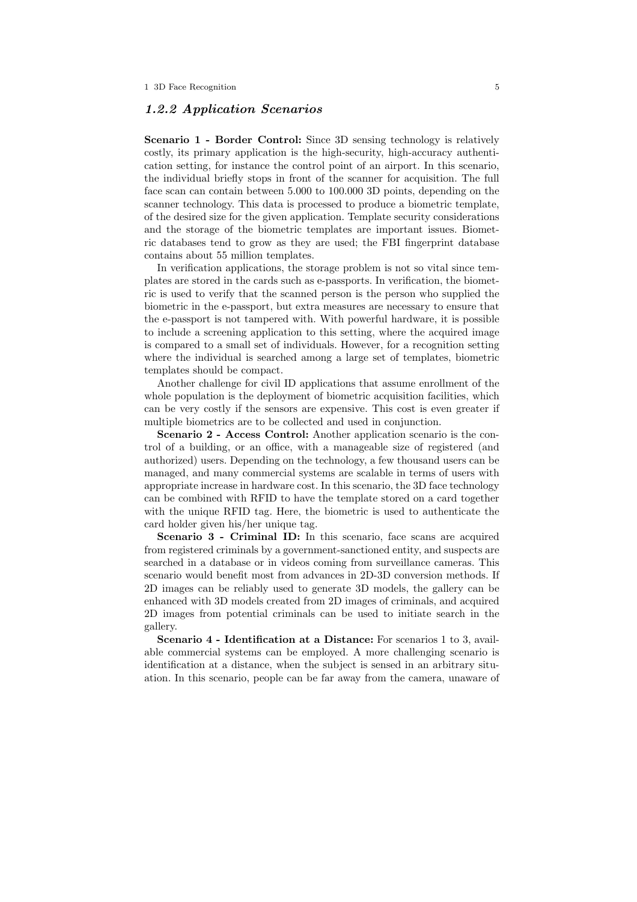# 1.2.2 Application Scenarios

Scenario 1 - Border Control: Since 3D sensing technology is relatively costly, its primary application is the high-security, high-accuracy authentication setting, for instance the control point of an airport. In this scenario, the individual briefly stops in front of the scanner for acquisition. The full face scan can contain between 5.000 to 100.000 3D points, depending on the scanner technology. This data is processed to produce a biometric template, of the desired size for the given application. Template security considerations and the storage of the biometric templates are important issues. Biometric databases tend to grow as they are used; the FBI fingerprint database contains about 55 million templates.

In verification applications, the storage problem is not so vital since templates are stored in the cards such as e-passports. In verification, the biometric is used to verify that the scanned person is the person who supplied the biometric in the e-passport, but extra measures are necessary to ensure that the e-passport is not tampered with. With powerful hardware, it is possible to include a screening application to this setting, where the acquired image is compared to a small set of individuals. However, for a recognition setting where the individual is searched among a large set of templates, biometric templates should be compact.

Another challenge for civil ID applications that assume enrollment of the whole population is the deployment of biometric acquisition facilities, which can be very costly if the sensors are expensive. This cost is even greater if multiple biometrics are to be collected and used in conjunction.

Scenario 2 - Access Control: Another application scenario is the control of a building, or an office, with a manageable size of registered (and authorized) users. Depending on the technology, a few thousand users can be managed, and many commercial systems are scalable in terms of users with appropriate increase in hardware cost. In this scenario, the 3D face technology can be combined with RFID to have the template stored on a card together with the unique RFID tag. Here, the biometric is used to authenticate the card holder given his/her unique tag.

Scenario 3 - Criminal ID: In this scenario, face scans are acquired from registered criminals by a government-sanctioned entity, and suspects are searched in a database or in videos coming from surveillance cameras. This scenario would benefit most from advances in 2D-3D conversion methods. If 2D images can be reliably used to generate 3D models, the gallery can be enhanced with 3D models created from 2D images of criminals, and acquired 2D images from potential criminals can be used to initiate search in the gallery.

Scenario 4 - Identification at a Distance: For scenarios 1 to 3, available commercial systems can be employed. A more challenging scenario is identification at a distance, when the subject is sensed in an arbitrary situation. In this scenario, people can be far away from the camera, unaware of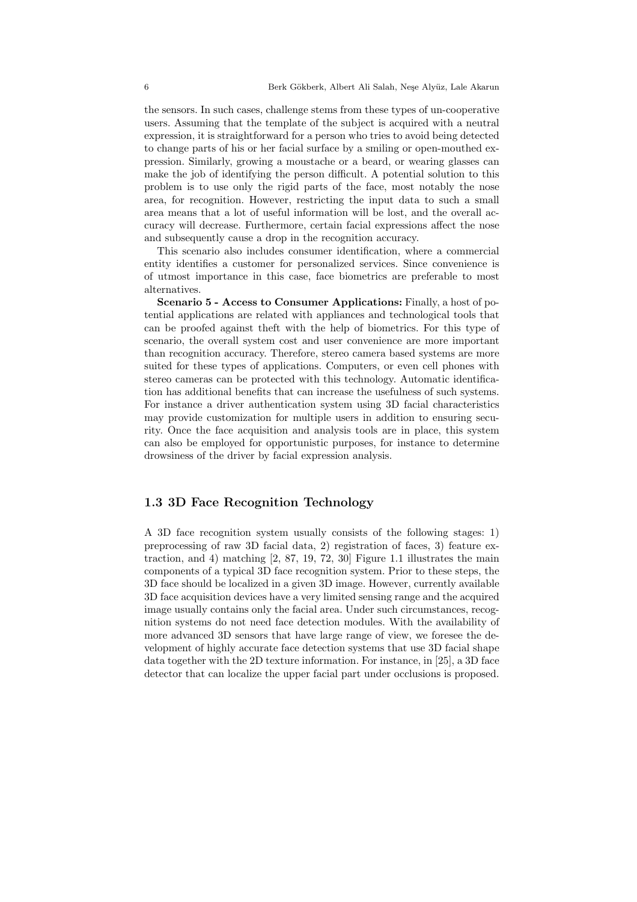the sensors. In such cases, challenge stems from these types of un-cooperative users. Assuming that the template of the subject is acquired with a neutral expression, it is straightforward for a person who tries to avoid being detected to change parts of his or her facial surface by a smiling or open-mouthed expression. Similarly, growing a moustache or a beard, or wearing glasses can make the job of identifying the person difficult. A potential solution to this problem is to use only the rigid parts of the face, most notably the nose area, for recognition. However, restricting the input data to such a small area means that a lot of useful information will be lost, and the overall accuracy will decrease. Furthermore, certain facial expressions affect the nose and subsequently cause a drop in the recognition accuracy.

This scenario also includes consumer identification, where a commercial entity identifies a customer for personalized services. Since convenience is of utmost importance in this case, face biometrics are preferable to most alternatives.

Scenario 5 - Access to Consumer Applications: Finally, a host of potential applications are related with appliances and technological tools that can be proofed against theft with the help of biometrics. For this type of scenario, the overall system cost and user convenience are more important than recognition accuracy. Therefore, stereo camera based systems are more suited for these types of applications. Computers, or even cell phones with stereo cameras can be protected with this technology. Automatic identification has additional benefits that can increase the usefulness of such systems. For instance a driver authentication system using 3D facial characteristics may provide customization for multiple users in addition to ensuring security. Once the face acquisition and analysis tools are in place, this system can also be employed for opportunistic purposes, for instance to determine drowsiness of the driver by facial expression analysis.

# 1.3 3D Face Recognition Technology

A 3D face recognition system usually consists of the following stages: 1) preprocessing of raw 3D facial data, 2) registration of faces, 3) feature extraction, and 4) matching  $[2, 87, 19, 72, 30]$  Figure 1.1 illustrates the main components of a typical 3D face recognition system. Prior to these steps, the 3D face should be localized in a given 3D image. However, currently available 3D face acquisition devices have a very limited sensing range and the acquired image usually contains only the facial area. Under such circumstances, recognition systems do not need face detection modules. With the availability of more advanced 3D sensors that have large range of view, we foresee the development of highly accurate face detection systems that use 3D facial shape data together with the 2D texture information. For instance, in [25], a 3D face detector that can localize the upper facial part under occlusions is proposed.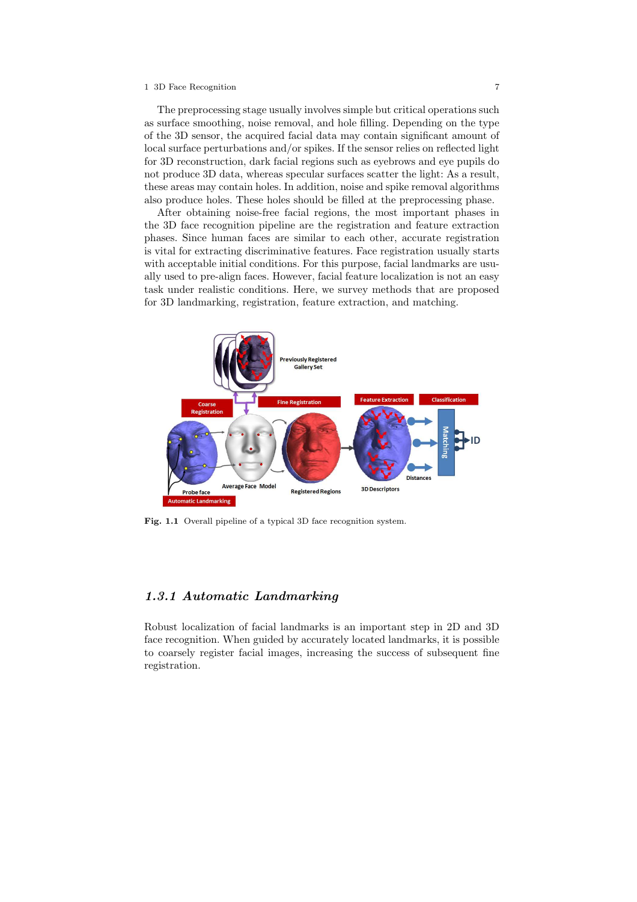The preprocessing stage usually involves simple but critical operations such as surface smoothing, noise removal, and hole filling. Depending on the type of the 3D sensor, the acquired facial data may contain significant amount of local surface perturbations and/or spikes. If the sensor relies on reflected light for 3D reconstruction, dark facial regions such as eyebrows and eye pupils do not produce 3D data, whereas specular surfaces scatter the light: As a result, these areas may contain holes. In addition, noise and spike removal algorithms also produce holes. These holes should be filled at the preprocessing phase.

After obtaining noise-free facial regions, the most important phases in the 3D face recognition pipeline are the registration and feature extraction phases. Since human faces are similar to each other, accurate registration is vital for extracting discriminative features. Face registration usually starts with acceptable initial conditions. For this purpose, facial landmarks are usually used to pre-align faces. However, facial feature localization is not an easy task under realistic conditions. Here, we survey methods that are proposed for 3D landmarking, registration, feature extraction, and matching.



Fig. 1.1 Overall pipeline of a typical 3D face recognition system.

# 1.3.1 Automatic Landmarking

Robust localization of facial landmarks is an important step in 2D and 3D face recognition. When guided by accurately located landmarks, it is possible to coarsely register facial images, increasing the success of subsequent fine registration.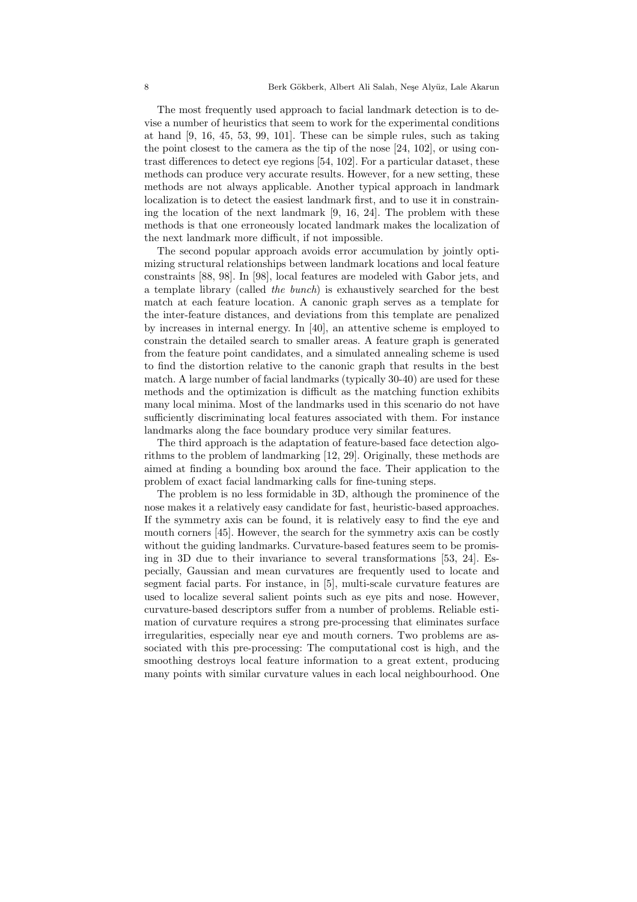The most frequently used approach to facial landmark detection is to devise a number of heuristics that seem to work for the experimental conditions at hand [9, 16, 45, 53, 99, 101]. These can be simple rules, such as taking the point closest to the camera as the tip of the nose [24, 102], or using contrast differences to detect eye regions [54, 102]. For a particular dataset, these methods can produce very accurate results. However, for a new setting, these methods are not always applicable. Another typical approach in landmark localization is to detect the easiest landmark first, and to use it in constraining the location of the next landmark [9, 16, 24]. The problem with these methods is that one erroneously located landmark makes the localization of the next landmark more difficult, if not impossible.

The second popular approach avoids error accumulation by jointly optimizing structural relationships between landmark locations and local feature constraints [88, 98]. In [98], local features are modeled with Gabor jets, and a template library (called the bunch) is exhaustively searched for the best match at each feature location. A canonic graph serves as a template for the inter-feature distances, and deviations from this template are penalized by increases in internal energy. In [40], an attentive scheme is employed to constrain the detailed search to smaller areas. A feature graph is generated from the feature point candidates, and a simulated annealing scheme is used to find the distortion relative to the canonic graph that results in the best match. A large number of facial landmarks (typically 30-40) are used for these methods and the optimization is difficult as the matching function exhibits many local minima. Most of the landmarks used in this scenario do not have sufficiently discriminating local features associated with them. For instance landmarks along the face boundary produce very similar features.

The third approach is the adaptation of feature-based face detection algorithms to the problem of landmarking [12, 29]. Originally, these methods are aimed at finding a bounding box around the face. Their application to the problem of exact facial landmarking calls for fine-tuning steps.

The problem is no less formidable in 3D, although the prominence of the nose makes it a relatively easy candidate for fast, heuristic-based approaches. If the symmetry axis can be found, it is relatively easy to find the eye and mouth corners [45]. However, the search for the symmetry axis can be costly without the guiding landmarks. Curvature-based features seem to be promising in 3D due to their invariance to several transformations [53, 24]. Especially, Gaussian and mean curvatures are frequently used to locate and segment facial parts. For instance, in [5], multi-scale curvature features are used to localize several salient points such as eye pits and nose. However, curvature-based descriptors suffer from a number of problems. Reliable estimation of curvature requires a strong pre-processing that eliminates surface irregularities, especially near eye and mouth corners. Two problems are associated with this pre-processing: The computational cost is high, and the smoothing destroys local feature information to a great extent, producing many points with similar curvature values in each local neighbourhood. One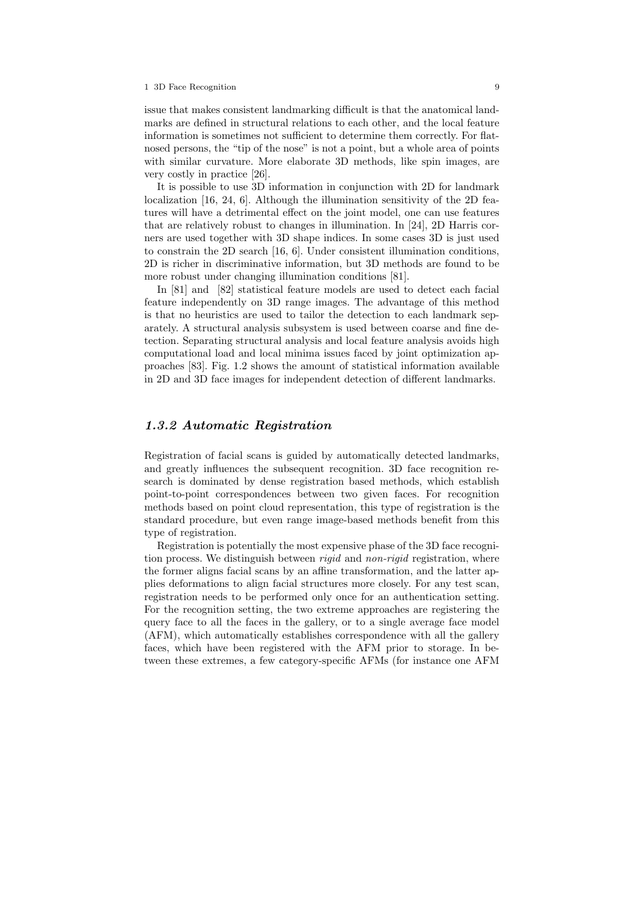issue that makes consistent landmarking difficult is that the anatomical landmarks are defined in structural relations to each other, and the local feature information is sometimes not sufficient to determine them correctly. For flatnosed persons, the "tip of the nose" is not a point, but a whole area of points with similar curvature. More elaborate 3D methods, like spin images, are very costly in practice [26].

It is possible to use 3D information in conjunction with 2D for landmark localization [16, 24, 6]. Although the illumination sensitivity of the 2D features will have a detrimental effect on the joint model, one can use features that are relatively robust to changes in illumination. In [24], 2D Harris corners are used together with 3D shape indices. In some cases 3D is just used to constrain the 2D search [16, 6]. Under consistent illumination conditions, 2D is richer in discriminative information, but 3D methods are found to be more robust under changing illumination conditions [81].

In [81] and [82] statistical feature models are used to detect each facial feature independently on 3D range images. The advantage of this method is that no heuristics are used to tailor the detection to each landmark separately. A structural analysis subsystem is used between coarse and fine detection. Separating structural analysis and local feature analysis avoids high computational load and local minima issues faced by joint optimization approaches [83]. Fig. 1.2 shows the amount of statistical information available in 2D and 3D face images for independent detection of different landmarks.

## 1.3.2 Automatic Registration

Registration of facial scans is guided by automatically detected landmarks, and greatly influences the subsequent recognition. 3D face recognition research is dominated by dense registration based methods, which establish point-to-point correspondences between two given faces. For recognition methods based on point cloud representation, this type of registration is the standard procedure, but even range image-based methods benefit from this type of registration.

Registration is potentially the most expensive phase of the 3D face recognition process. We distinguish between *rigid* and *non-rigid* registration, where the former aligns facial scans by an affine transformation, and the latter applies deformations to align facial structures more closely. For any test scan, registration needs to be performed only once for an authentication setting. For the recognition setting, the two extreme approaches are registering the query face to all the faces in the gallery, or to a single average face model (AFM), which automatically establishes correspondence with all the gallery faces, which have been registered with the AFM prior to storage. In between these extremes, a few category-specific AFMs (for instance one AFM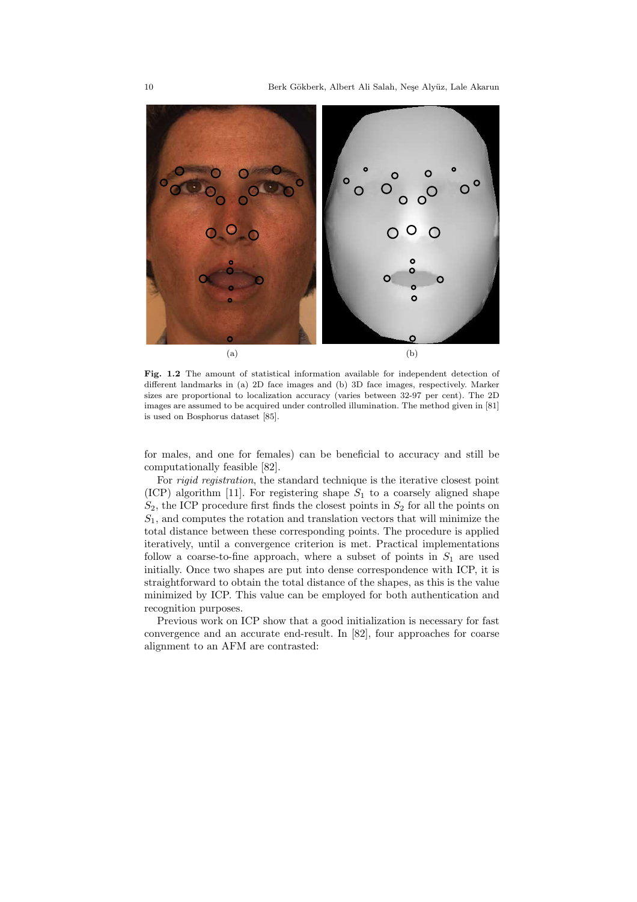

Fig. 1.2 The amount of statistical information available for independent detection of different landmarks in (a) 2D face images and (b) 3D face images, respectively. Marker sizes are proportional to localization accuracy (varies between 32-97 per cent). The 2D images are assumed to be acquired under controlled illumination. The method given in [81] is used on Bosphorus dataset [85].

for males, and one for females) can be beneficial to accuracy and still be computationally feasible [82].

For rigid registration, the standard technique is the iterative closest point (ICP) algorithm [11]. For registering shape  $S_1$  to a coarsely aligned shape  $S_2$ , the ICP procedure first finds the closest points in  $S_2$  for all the points on  $S_1$ , and computes the rotation and translation vectors that will minimize the total distance between these corresponding points. The procedure is applied iteratively, until a convergence criterion is met. Practical implementations follow a coarse-to-fine approach, where a subset of points in  $S_1$  are used initially. Once two shapes are put into dense correspondence with ICP, it is straightforward to obtain the total distance of the shapes, as this is the value minimized by ICP. This value can be employed for both authentication and recognition purposes.

Previous work on ICP show that a good initialization is necessary for fast convergence and an accurate end-result. In [82], four approaches for coarse alignment to an AFM are contrasted: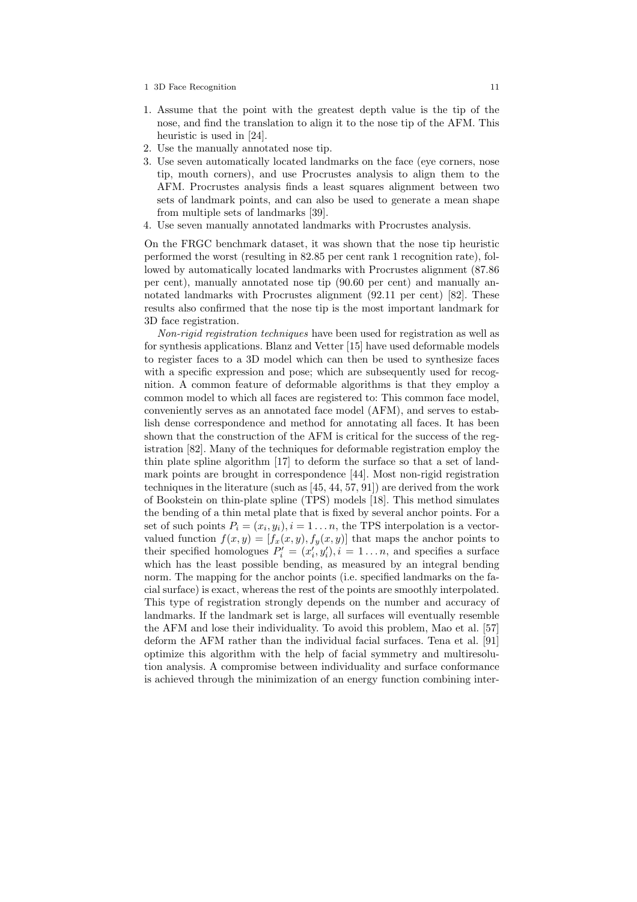- 1. Assume that the point with the greatest depth value is the tip of the nose, and find the translation to align it to the nose tip of the AFM. This heuristic is used in [24].
- 2. Use the manually annotated nose tip.
- 3. Use seven automatically located landmarks on the face (eye corners, nose tip, mouth corners), and use Procrustes analysis to align them to the AFM. Procrustes analysis finds a least squares alignment between two sets of landmark points, and can also be used to generate a mean shape from multiple sets of landmarks [39].
- 4. Use seven manually annotated landmarks with Procrustes analysis.

On the FRGC benchmark dataset, it was shown that the nose tip heuristic performed the worst (resulting in 82.85 per cent rank 1 recognition rate), followed by automatically located landmarks with Procrustes alignment (87.86 per cent), manually annotated nose tip (90.60 per cent) and manually annotated landmarks with Procrustes alignment (92.11 per cent) [82]. These results also confirmed that the nose tip is the most important landmark for 3D face registration.

Non-rigid registration techniques have been used for registration as well as for synthesis applications. Blanz and Vetter [15] have used deformable models to register faces to a 3D model which can then be used to synthesize faces with a specific expression and pose; which are subsequently used for recognition. A common feature of deformable algorithms is that they employ a common model to which all faces are registered to: This common face model, conveniently serves as an annotated face model (AFM), and serves to establish dense correspondence and method for annotating all faces. It has been shown that the construction of the AFM is critical for the success of the registration [82]. Many of the techniques for deformable registration employ the thin plate spline algorithm [17] to deform the surface so that a set of landmark points are brought in correspondence [44]. Most non-rigid registration techniques in the literature (such as [45, 44, 57, 91]) are derived from the work of Bookstein on thin-plate spline (TPS) models [18]. This method simulates the bending of a thin metal plate that is fixed by several anchor points. For a set of such points  $P_i = (x_i, y_i), i = 1...n$ , the TPS interpolation is a vectorvalued function  $f(x, y) = [f_x(x, y), f_y(x, y)]$  that maps the anchor points to their specified homologues  $P'_i = (x'_i, y'_i), i = 1...n$ , and specifies a surface which has the least possible bending, as measured by an integral bending norm. The mapping for the anchor points (i.e. specified landmarks on the facial surface) is exact, whereas the rest of the points are smoothly interpolated. This type of registration strongly depends on the number and accuracy of landmarks. If the landmark set is large, all surfaces will eventually resemble the AFM and lose their individuality. To avoid this problem, Mao et al. [57] deform the AFM rather than the individual facial surfaces. Tena et al. [91] optimize this algorithm with the help of facial symmetry and multiresolution analysis. A compromise between individuality and surface conformance is achieved through the minimization of an energy function combining inter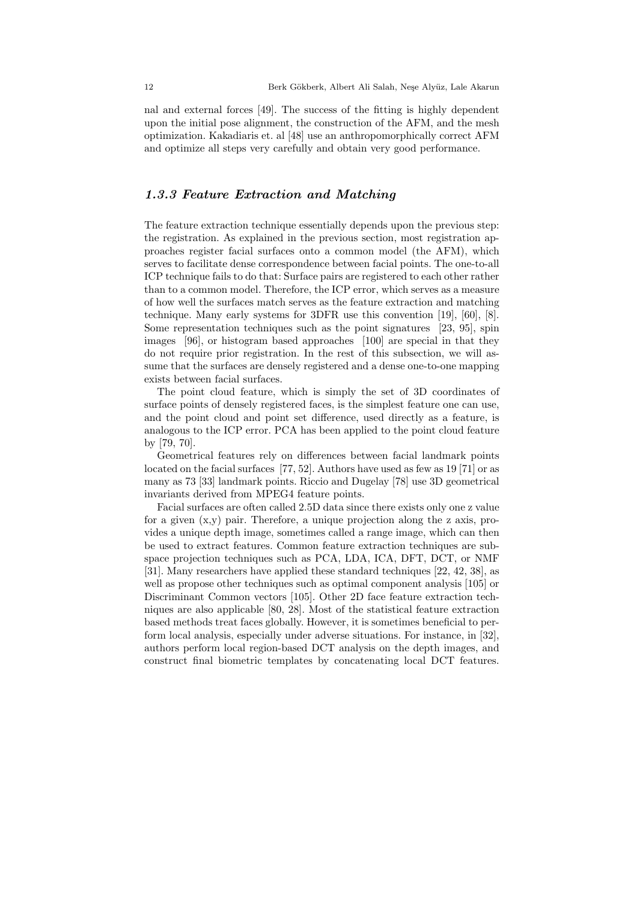nal and external forces [49]. The success of the fitting is highly dependent upon the initial pose alignment, the construction of the AFM, and the mesh optimization. Kakadiaris et. al [48] use an anthropomorphically correct AFM and optimize all steps very carefully and obtain very good performance.

# 1.3.3 Feature Extraction and Matching

The feature extraction technique essentially depends upon the previous step: the registration. As explained in the previous section, most registration approaches register facial surfaces onto a common model (the AFM), which serves to facilitate dense correspondence between facial points. The one-to-all ICP technique fails to do that: Surface pairs are registered to each other rather than to a common model. Therefore, the ICP error, which serves as a measure of how well the surfaces match serves as the feature extraction and matching technique. Many early systems for 3DFR use this convention [19], [60], [8]. Some representation techniques such as the point signatures [23, 95], spin images [96], or histogram based approaches [100] are special in that they do not require prior registration. In the rest of this subsection, we will assume that the surfaces are densely registered and a dense one-to-one mapping exists between facial surfaces.

The point cloud feature, which is simply the set of 3D coordinates of surface points of densely registered faces, is the simplest feature one can use, and the point cloud and point set difference, used directly as a feature, is analogous to the ICP error. PCA has been applied to the point cloud feature by [79, 70].

Geometrical features rely on differences between facial landmark points located on the facial surfaces [77, 52]. Authors have used as few as 19 [71] or as many as 73 [33] landmark points. Riccio and Dugelay [78] use 3D geometrical invariants derived from MPEG4 feature points.

Facial surfaces are often called 2.5D data since there exists only one z value for a given (x,y) pair. Therefore, a unique projection along the z axis, provides a unique depth image, sometimes called a range image, which can then be used to extract features. Common feature extraction techniques are subspace projection techniques such as PCA, LDA, ICA, DFT, DCT, or NMF [31]. Many researchers have applied these standard techniques [22, 42, 38], as well as propose other techniques such as optimal component analysis [105] or Discriminant Common vectors [105]. Other 2D face feature extraction techniques are also applicable [80, 28]. Most of the statistical feature extraction based methods treat faces globally. However, it is sometimes beneficial to perform local analysis, especially under adverse situations. For instance, in [32], authors perform local region-based DCT analysis on the depth images, and construct final biometric templates by concatenating local DCT features.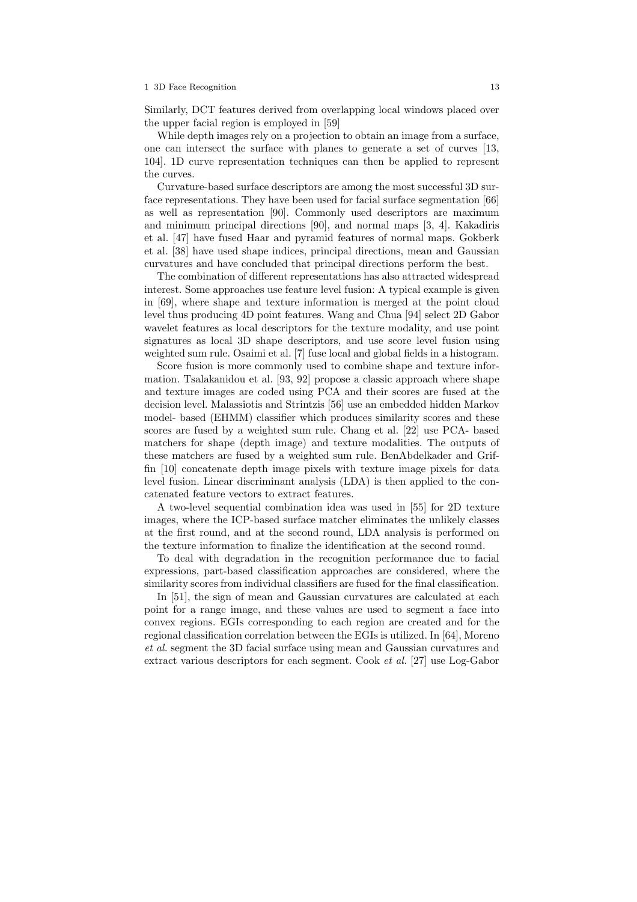Similarly, DCT features derived from overlapping local windows placed over the upper facial region is employed in [59]

While depth images rely on a projection to obtain an image from a surface, one can intersect the surface with planes to generate a set of curves [13, 104]. 1D curve representation techniques can then be applied to represent the curves.

Curvature-based surface descriptors are among the most successful 3D surface representations. They have been used for facial surface segmentation [66] as well as representation [90]. Commonly used descriptors are maximum and minimum principal directions [90], and normal maps [3, 4]. Kakadiris et al. [47] have fused Haar and pyramid features of normal maps. Gokberk et al. [38] have used shape indices, principal directions, mean and Gaussian curvatures and have concluded that principal directions perform the best.

The combination of different representations has also attracted widespread interest. Some approaches use feature level fusion: A typical example is given in [69], where shape and texture information is merged at the point cloud level thus producing 4D point features. Wang and Chua [94] select 2D Gabor wavelet features as local descriptors for the texture modality, and use point signatures as local 3D shape descriptors, and use score level fusion using weighted sum rule. Osaimi et al. [7] fuse local and global fields in a histogram.

Score fusion is more commonly used to combine shape and texture information. Tsalakanidou et al. [93, 92] propose a classic approach where shape and texture images are coded using PCA and their scores are fused at the decision level. Malassiotis and Strintzis [56] use an embedded hidden Markov model- based (EHMM) classifier which produces similarity scores and these scores are fused by a weighted sum rule. Chang et al. [22] use PCA- based matchers for shape (depth image) and texture modalities. The outputs of these matchers are fused by a weighted sum rule. BenAbdelkader and Griffin [10] concatenate depth image pixels with texture image pixels for data level fusion. Linear discriminant analysis (LDA) is then applied to the concatenated feature vectors to extract features.

A two-level sequential combination idea was used in [55] for 2D texture images, where the ICP-based surface matcher eliminates the unlikely classes at the first round, and at the second round, LDA analysis is performed on the texture information to finalize the identification at the second round.

To deal with degradation in the recognition performance due to facial expressions, part-based classification approaches are considered, where the similarity scores from individual classifiers are fused for the final classification.

In [51], the sign of mean and Gaussian curvatures are calculated at each point for a range image, and these values are used to segment a face into convex regions. EGIs corresponding to each region are created and for the regional classification correlation between the EGIs is utilized. In [64], Moreno et al. segment the 3D facial surface using mean and Gaussian curvatures and extract various descriptors for each segment. Cook et al. [27] use Log-Gabor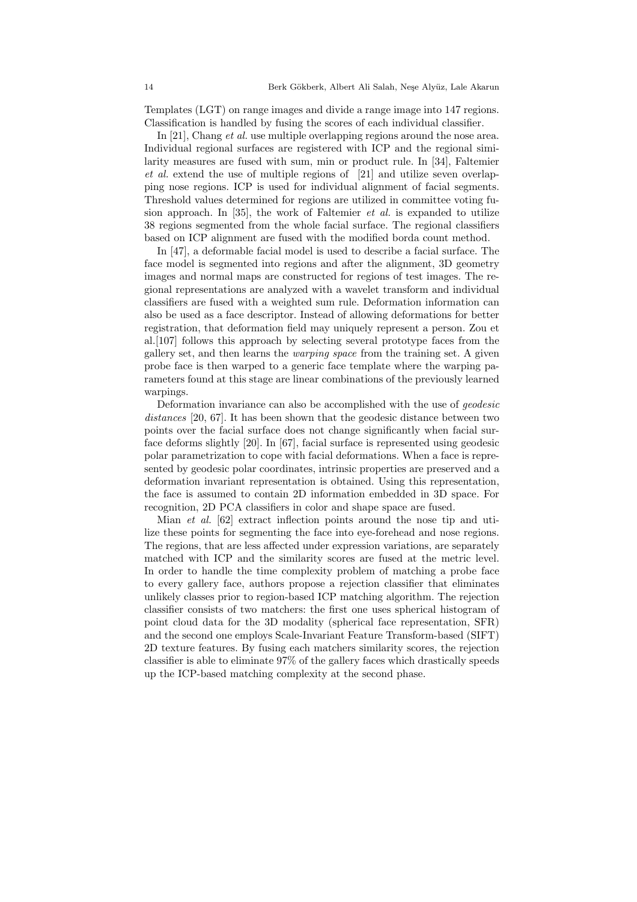Templates (LGT) on range images and divide a range image into 147 regions. Classification is handled by fusing the scores of each individual classifier.

In [21], Chang *et al.* use multiple overlapping regions around the nose area. Individual regional surfaces are registered with ICP and the regional similarity measures are fused with sum, min or product rule. In [34], Faltemier et al. extend the use of multiple regions of [21] and utilize seven overlapping nose regions. ICP is used for individual alignment of facial segments. Threshold values determined for regions are utilized in committee voting fusion approach. In [35], the work of Faltemier *et al.* is expanded to utilize 38 regions segmented from the whole facial surface. The regional classifiers based on ICP alignment are fused with the modified borda count method.

In [47], a deformable facial model is used to describe a facial surface. The face model is segmented into regions and after the alignment, 3D geometry images and normal maps are constructed for regions of test images. The regional representations are analyzed with a wavelet transform and individual classifiers are fused with a weighted sum rule. Deformation information can also be used as a face descriptor. Instead of allowing deformations for better registration, that deformation field may uniquely represent a person. Zou et al.[107] follows this approach by selecting several prototype faces from the gallery set, and then learns the warping space from the training set. A given probe face is then warped to a generic face template where the warping parameters found at this stage are linear combinations of the previously learned warpings.

Deformation invariance can also be accomplished with the use of geodesic distances [20, 67]. It has been shown that the geodesic distance between two points over the facial surface does not change significantly when facial surface deforms slightly [20]. In [67], facial surface is represented using geodesic polar parametrization to cope with facial deformations. When a face is represented by geodesic polar coordinates, intrinsic properties are preserved and a deformation invariant representation is obtained. Using this representation, the face is assumed to contain 2D information embedded in 3D space. For recognition, 2D PCA classifiers in color and shape space are fused.

Mian et al. [62] extract inflection points around the nose tip and utilize these points for segmenting the face into eye-forehead and nose regions. The regions, that are less affected under expression variations, are separately matched with ICP and the similarity scores are fused at the metric level. In order to handle the time complexity problem of matching a probe face to every gallery face, authors propose a rejection classifier that eliminates unlikely classes prior to region-based ICP matching algorithm. The rejection classifier consists of two matchers: the first one uses spherical histogram of point cloud data for the 3D modality (spherical face representation, SFR) and the second one employs Scale-Invariant Feature Transform-based (SIFT) 2D texture features. By fusing each matchers similarity scores, the rejection classifier is able to eliminate 97% of the gallery faces which drastically speeds up the ICP-based matching complexity at the second phase.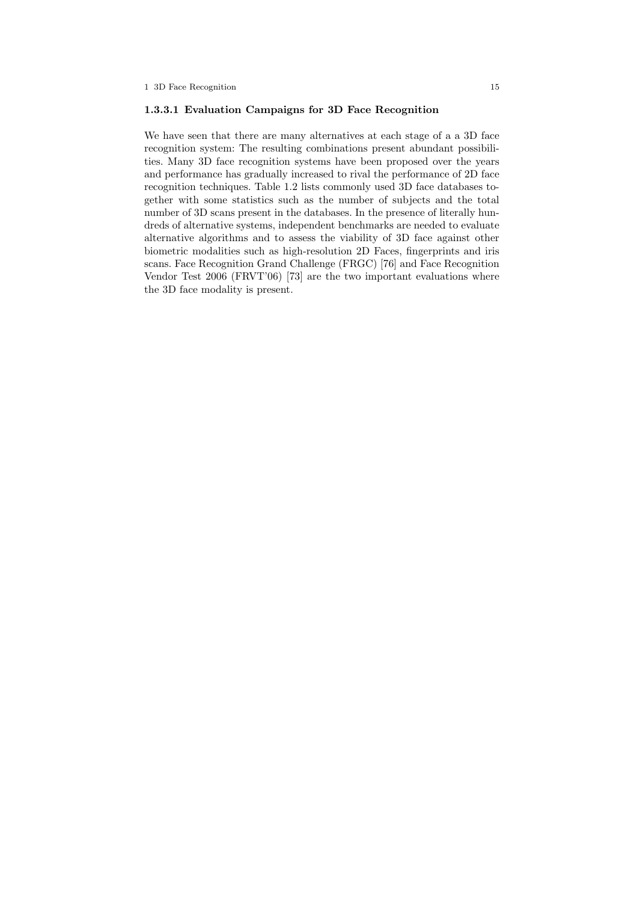#### 1.3.3.1 Evaluation Campaigns for 3D Face Recognition

We have seen that there are many alternatives at each stage of a a 3D face recognition system: The resulting combinations present abundant possibilities. Many 3D face recognition systems have been proposed over the years and performance has gradually increased to rival the performance of 2D face recognition techniques. Table 1.2 lists commonly used 3D face databases together with some statistics such as the number of subjects and the total number of 3D scans present in the databases. In the presence of literally hundreds of alternative systems, independent benchmarks are needed to evaluate alternative algorithms and to assess the viability of 3D face against other biometric modalities such as high-resolution 2D Faces, fingerprints and iris scans. Face Recognition Grand Challenge (FRGC) [76] and Face Recognition Vendor Test 2006 (FRVT'06) [73] are the two important evaluations where the 3D face modality is present.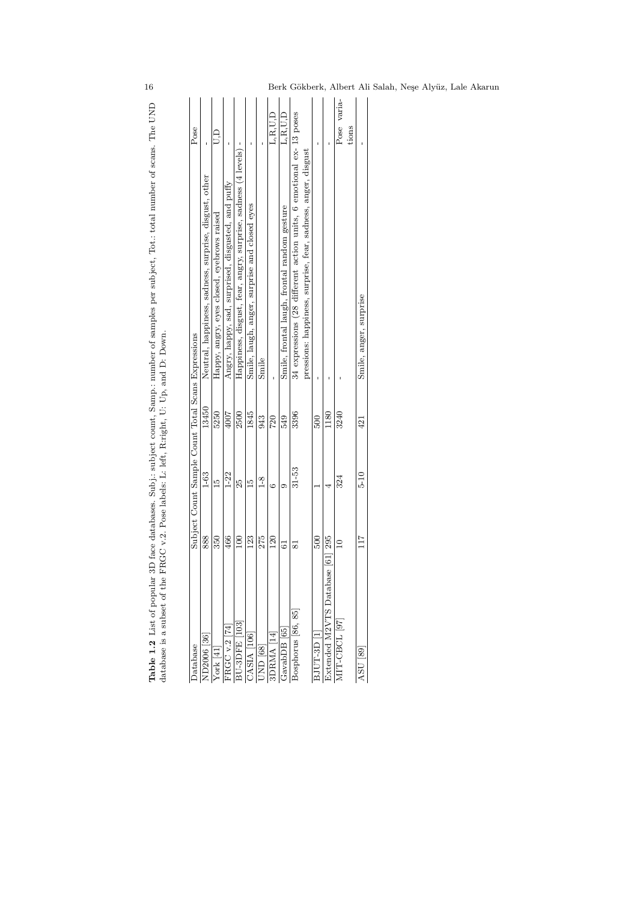| I<br>$\frac{1}{2}$<br>j<br>with the position of the contract of the contract of the contract of the contract of the contract of the contract of the contract of the contract of the contract of the contract of the contract of the contract of the contr | ĺ                                                                                                    |
|-----------------------------------------------------------------------------------------------------------------------------------------------------------------------------------------------------------------------------------------------------------|------------------------------------------------------------------------------------------------------|
| Subi subject count. Sample unphared sembles nor subject in<br>i<br>;<br>`<br>)<br>}<br>}                                                                                                                                                                  | ļ<br>$\sim$<br>$\frac{1}{2}$<br>$\frac{1}{2}$<br>$\overline{a}$                                      |
| mand range ran<br>֚֘<br>į<br>Ï<br>l<br>֖֖֖֖֖֖֖֖֖֧֖֧֖֧֖֧֪֪֪֧֪֪֪֪֪֧֪֪֪֪֪֪֪֪֪֪֪֪֪֪֪֪֪֪֪֪֪֪֪֚֚֚֚֚֚֚֚֚֚֚֚֚֚֚֚֚֚֚֚֚֚֚֚֚֚֚֚֚֚֚֬֝֓֞֝֬֝֬֝֓֞<br>l<br>֠<br>֧ׅ֧֧֧֧֧֧֧֧ׅ֧֧ׅ֧֧֚֚֚֚֚֚֚֚֚֚֚֚֚֚֚֚֚֚֚֚֚֚֚֚֚֚֚֚֚֚֚֚֡֡֓֓֓֓֓֓֓֓֜֝֬֜<br>į                                       | $\frac{1}{2}$<br>$\ddot{\phantom{a}}$<br>i<br>I<br>Ì<br>リー・ト<br>١<br>I<br>l<br>ï<br>ļ<br>ł<br>ļ<br>ï |

|                |                |       |                                                                     | Pose                                                                                                                                                         |
|----------------|----------------|-------|---------------------------------------------------------------------|--------------------------------------------------------------------------------------------------------------------------------------------------------------|
| 888            | $1-63$         | 13450 |                                                                     |                                                                                                                                                              |
| 350            | $\frac{10}{2}$ | 5250  | Happy, angry, eyes closed, eyebrows raised                          | A<br>D                                                                                                                                                       |
| 466            | $1 - 22$       | 4007  | Angry, happy, sad, surprised, disgusted, and puffy                  |                                                                                                                                                              |
| $^{100}$       | Й,             | 2500  | Happiness, disgust, fear, angry, surprise, sadness (4 levels)       |                                                                                                                                                              |
| 123            | É              | 1845  |                                                                     |                                                                                                                                                              |
| 275            | $\frac{8}{1}$  | 943   | Smile                                                               |                                                                                                                                                              |
| <b>20</b>      | G              | 720   |                                                                     | L.R.U.D                                                                                                                                                      |
| $\overline{6}$ | ග              | 549   | Smile, frontal laugh, frontal random gesture                        | L.R.U.D                                                                                                                                                      |
| ವ              | $31-53$        | 3396  | 34 expressions (28 different action units, 6 emotional ex- 13 poses |                                                                                                                                                              |
|                |                |       | pressions: happiness, surprise, fear, sadness, anger, disgust       |                                                                                                                                                              |
| 500            |                | 500   |                                                                     |                                                                                                                                                              |
| se [61] 295    |                | 1180  |                                                                     |                                                                                                                                                              |
|                | 324            | 3240  |                                                                     | Pose varia-                                                                                                                                                  |
|                |                |       |                                                                     | tions                                                                                                                                                        |
| 117            | $\frac{5}{10}$ | 421   | Smile, anger, surprise                                              |                                                                                                                                                              |
|                |                |       |                                                                     | Neutral, happiness, sadness, surprise, disgust, other<br>Smile, laugh, anger, surprise and closed eyes<br>Subject Count Sample Count Total Scans Expressions |

16 Berk Gökberk, Albert Ali Salah, Neşe Alyüz, Lale Akarun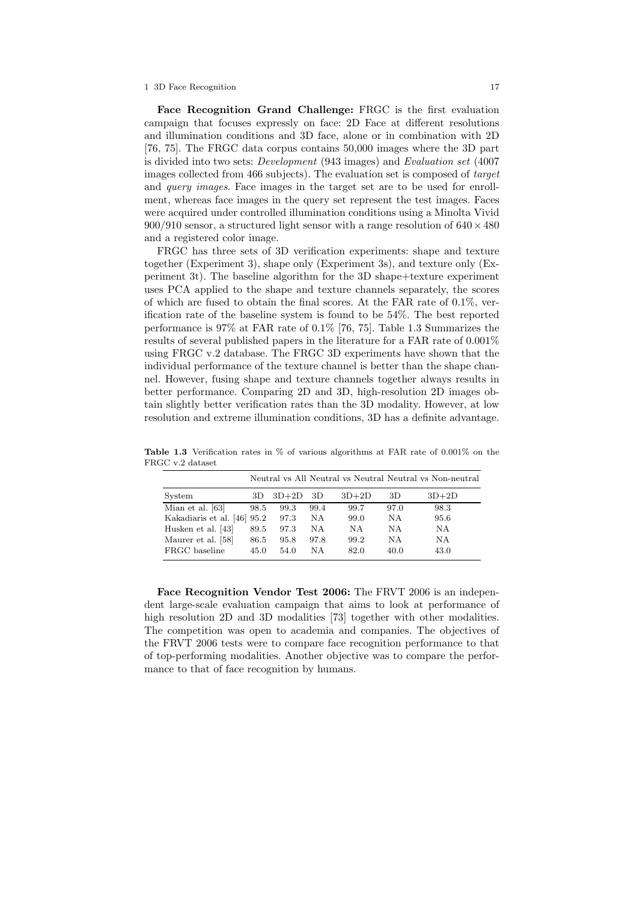Face Recognition Grand Challenge: FRGC is the first evaluation campaign that focuses expressly on face: 2D Face at different resolutions and illumination conditions and 3D face, alone or in combination with 2D [76, 75]. The FRGC data corpus contains 50,000 images where the 3D part is divided into two sets: Development (943 images) and Evaluation set (4007 images collected from 466 subjects). The evaluation set is composed of target and query images. Face images in the target set are to be used for enrollment, whereas face images in the query set represent the test images. Faces were acquired under controlled illumination conditions using a Minolta Vivid 900/910 sensor, a structured light sensor with a range resolution of  $640 \times 480$ and a registered color image.

FRGC has three sets of 3D verification experiments: shape and texture together (Experiment 3), shape only (Experiment 3s), and texture only (Experiment 3t). The baseline algorithm for the 3D shape+texture experiment uses PCA applied to the shape and texture channels separately, the scores of which are fused to obtain the final scores. At the FAR rate of  $0.1\%$ , verification rate of the baseline system is found to be 54%. The best reported performance is 97% at FAR rate of 0.1% [76, 75]. Table 1.3 Summarizes the results of several published papers in the literature for a FAR rate of 0.001% using FRGC v.2 database. The FRGC 3D experiments have shown that the individual performance of the texture channel is better than the shape channel. However, fusing shape and texture channels together always results in better performance. Comparing 2D and 3D, high-resolution 2D images obtain slightly better verification rates than the 3D modality. However, at low resolution and extreme illumination conditions, 3D has a definite advantage.

|                        |      |         |      |         |      | Neutral vs All Neutral vs Neutral Neutral vs Non-neutral |
|------------------------|------|---------|------|---------|------|----------------------------------------------------------|
| System                 | 3D.  | $3D+2D$ | 3D   | $3D+2D$ | 3D   | $3D+2D$                                                  |
| Mian et al. [63]       | 98.5 | 99.3    | 99.4 | 99.7    | 97.0 | 98.3                                                     |
| Kakadiaris et al. [46] | 95.2 | 97.3    | NΑ   | 99.0    | N A  | 95.6                                                     |
| Husken et al. [43]     | 89.5 | 97.3    | NΑ   | NA      | N A  | NΑ                                                       |
| Maurer et al. [58]     | 86.5 | 95.8    | 97.8 | 99.2    | N A  | NA                                                       |
| FRGC baseline          | 45.0 | 54.0    | NΑ   | 82.0    | 40.0 | 43.0                                                     |

Table 1.3 Verification rates in % of various algorithms at FAR rate of 0.001% on the FRGC v.2 dataset

Face Recognition Vendor Test 2006: The FRVT 2006 is an independent large-scale evaluation campaign that aims to look at performance of high resolution 2D and 3D modalities [73] together with other modalities. The competition was open to academia and companies. The objectives of the FRVT 2006 tests were to compare face recognition performance to that of top-performing modalities. Another objective was to compare the performance to that of face recognition by humans.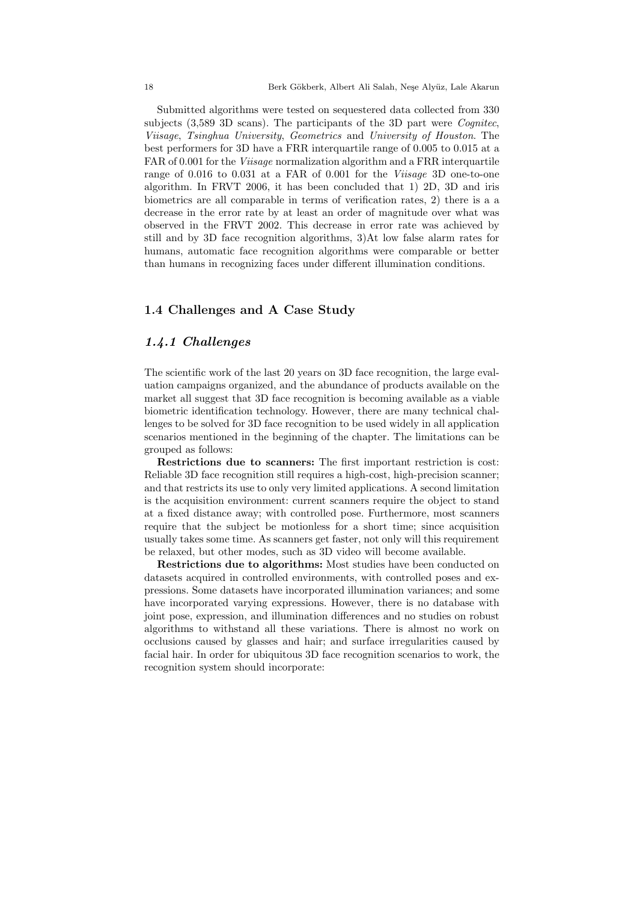Submitted algorithms were tested on sequestered data collected from 330 subjects (3,589 3D scans). The participants of the 3D part were *Cognitec*, Viisage, Tsinghua University, Geometrics and University of Houston. The best performers for 3D have a FRR interquartile range of 0.005 to 0.015 at a FAR of 0.001 for the *Viisage* normalization algorithm and a FRR interquartile range of 0.016 to 0.031 at a FAR of 0.001 for the Viisage 3D one-to-one algorithm. In FRVT 2006, it has been concluded that 1) 2D, 3D and iris biometrics are all comparable in terms of verification rates, 2) there is a a decrease in the error rate by at least an order of magnitude over what was observed in the FRVT 2002. This decrease in error rate was achieved by still and by 3D face recognition algorithms, 3)At low false alarm rates for humans, automatic face recognition algorithms were comparable or better than humans in recognizing faces under different illumination conditions.

# 1.4 Challenges and A Case Study

## 1.4.1 Challenges

The scientific work of the last 20 years on 3D face recognition, the large evaluation campaigns organized, and the abundance of products available on the market all suggest that 3D face recognition is becoming available as a viable biometric identification technology. However, there are many technical challenges to be solved for 3D face recognition to be used widely in all application scenarios mentioned in the beginning of the chapter. The limitations can be grouped as follows:

Restrictions due to scanners: The first important restriction is cost: Reliable 3D face recognition still requires a high-cost, high-precision scanner; and that restricts its use to only very limited applications. A second limitation is the acquisition environment: current scanners require the object to stand at a fixed distance away; with controlled pose. Furthermore, most scanners require that the subject be motionless for a short time; since acquisition usually takes some time. As scanners get faster, not only will this requirement be relaxed, but other modes, such as 3D video will become available.

Restrictions due to algorithms: Most studies have been conducted on datasets acquired in controlled environments, with controlled poses and expressions. Some datasets have incorporated illumination variances; and some have incorporated varying expressions. However, there is no database with joint pose, expression, and illumination differences and no studies on robust algorithms to withstand all these variations. There is almost no work on occlusions caused by glasses and hair; and surface irregularities caused by facial hair. In order for ubiquitous 3D face recognition scenarios to work, the recognition system should incorporate: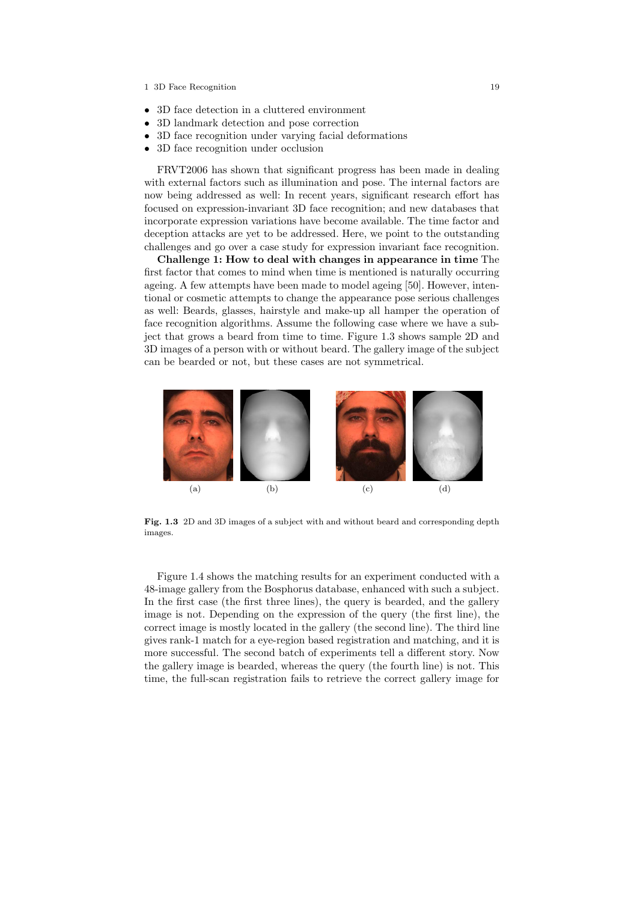- 3D face detection in a cluttered environment
- 3D landmark detection and pose correction
- 3D face recognition under varying facial deformations
- 3D face recognition under occlusion

FRVT2006 has shown that significant progress has been made in dealing with external factors such as illumination and pose. The internal factors are now being addressed as well: In recent years, significant research effort has focused on expression-invariant 3D face recognition; and new databases that incorporate expression variations have become available. The time factor and deception attacks are yet to be addressed. Here, we point to the outstanding challenges and go over a case study for expression invariant face recognition.

Challenge 1: How to deal with changes in appearance in time The first factor that comes to mind when time is mentioned is naturally occurring ageing. A few attempts have been made to model ageing [50]. However, intentional or cosmetic attempts to change the appearance pose serious challenges as well: Beards, glasses, hairstyle and make-up all hamper the operation of face recognition algorithms. Assume the following case where we have a subject that grows a beard from time to time. Figure 1.3 shows sample 2D and 3D images of a person with or without beard. The gallery image of the subject can be bearded or not, but these cases are not symmetrical.



Fig. 1.3 2D and 3D images of a subject with and without beard and corresponding depth images.

Figure 1.4 shows the matching results for an experiment conducted with a 48-image gallery from the Bosphorus database, enhanced with such a subject. In the first case (the first three lines), the query is bearded, and the gallery image is not. Depending on the expression of the query (the first line), the correct image is mostly located in the gallery (the second line). The third line gives rank-1 match for a eye-region based registration and matching, and it is more successful. The second batch of experiments tell a different story. Now the gallery image is bearded, whereas the query (the fourth line) is not. This time, the full-scan registration fails to retrieve the correct gallery image for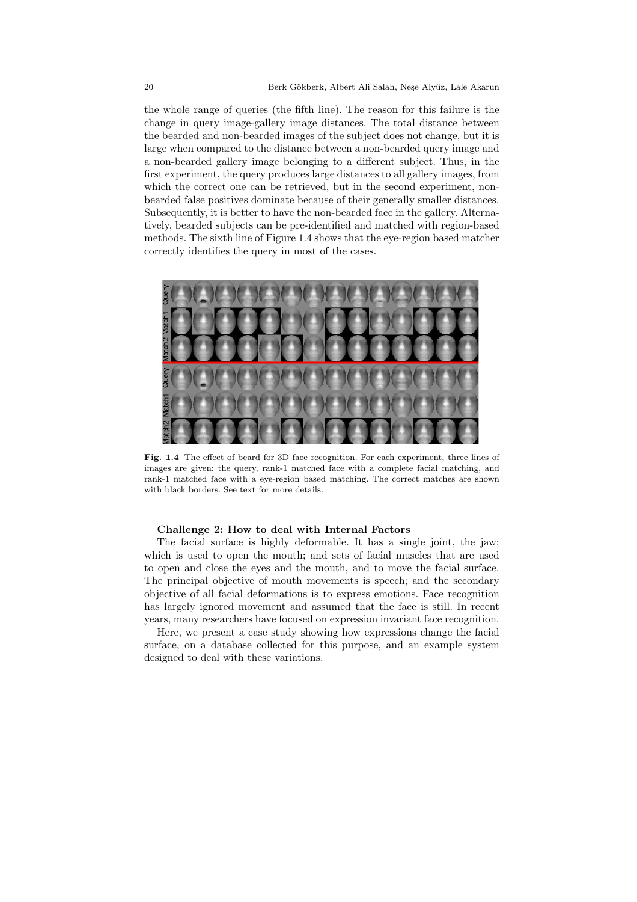the whole range of queries (the fifth line). The reason for this failure is the change in query image-gallery image distances. The total distance between the bearded and non-bearded images of the subject does not change, but it is large when compared to the distance between a non-bearded query image and a non-bearded gallery image belonging to a different subject. Thus, in the first experiment, the query produces large distances to all gallery images, from which the correct one can be retrieved, but in the second experiment, nonbearded false positives dominate because of their generally smaller distances. Subsequently, it is better to have the non-bearded face in the gallery. Alternatively, bearded subjects can be pre-identified and matched with region-based methods. The sixth line of Figure 1.4 shows that the eye-region based matcher correctly identifies the query in most of the cases.



Fig. 1.4 The effect of beard for 3D face recognition. For each experiment, three lines of images are given: the query, rank-1 matched face with a complete facial matching, and rank-1 matched face with a eye-region based matching. The correct matches are shown with black borders. See text for more details.

#### Challenge 2: How to deal with Internal Factors

The facial surface is highly deformable. It has a single joint, the jaw; which is used to open the mouth; and sets of facial muscles that are used to open and close the eyes and the mouth, and to move the facial surface. The principal objective of mouth movements is speech; and the secondary objective of all facial deformations is to express emotions. Face recognition has largely ignored movement and assumed that the face is still. In recent years, many researchers have focused on expression invariant face recognition.

Here, we present a case study showing how expressions change the facial surface, on a database collected for this purpose, and an example system designed to deal with these variations.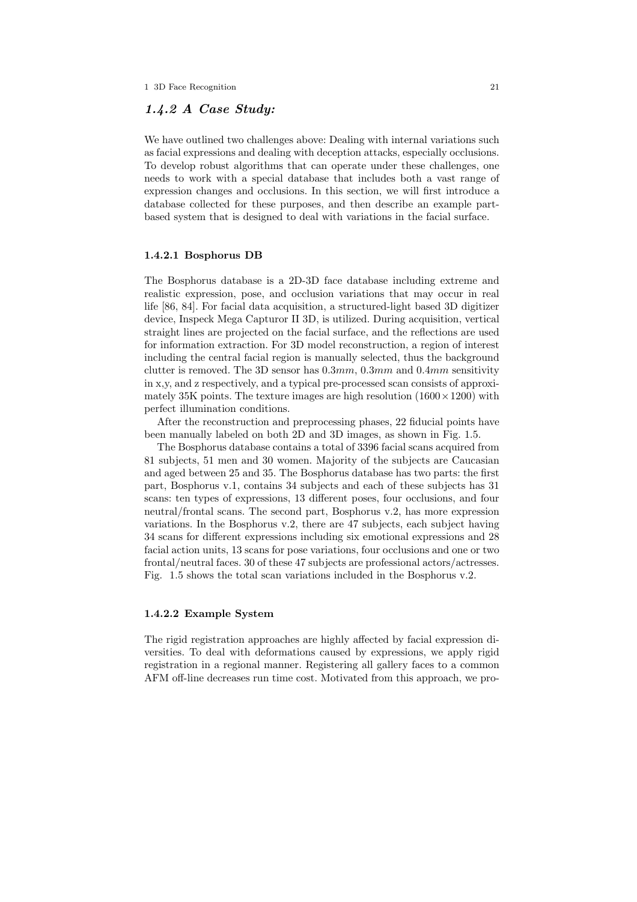# 1.4.2 A Case Study:

We have outlined two challenges above: Dealing with internal variations such as facial expressions and dealing with deception attacks, especially occlusions. To develop robust algorithms that can operate under these challenges, one needs to work with a special database that includes both a vast range of expression changes and occlusions. In this section, we will first introduce a database collected for these purposes, and then describe an example partbased system that is designed to deal with variations in the facial surface.

#### 1.4.2.1 Bosphorus DB

The Bosphorus database is a 2D-3D face database including extreme and realistic expression, pose, and occlusion variations that may occur in real life [86, 84]. For facial data acquisition, a structured-light based 3D digitizer device, Inspeck Mega Capturor II 3D, is utilized. During acquisition, vertical straight lines are projected on the facial surface, and the reflections are used for information extraction. For 3D model reconstruction, a region of interest including the central facial region is manually selected, thus the background clutter is removed. The 3D sensor has  $0.3mm$ ,  $0.3mm$  and  $0.4mm$  sensitivity in x,y, and z respectively, and a typical pre-processed scan consists of approximately 35K points. The texture images are high resolution  $(1600 \times 1200)$  with perfect illumination conditions.

After the reconstruction and preprocessing phases, 22 fiducial points have been manually labeled on both 2D and 3D images, as shown in Fig. 1.5.

The Bosphorus database contains a total of 3396 facial scans acquired from 81 subjects, 51 men and 30 women. Majority of the subjects are Caucasian and aged between 25 and 35. The Bosphorus database has two parts: the first part, Bosphorus v.1, contains 34 subjects and each of these subjects has 31 scans: ten types of expressions, 13 different poses, four occlusions, and four neutral/frontal scans. The second part, Bosphorus v.2, has more expression variations. In the Bosphorus v.2, there are 47 subjects, each subject having 34 scans for different expressions including six emotional expressions and 28 facial action units, 13 scans for pose variations, four occlusions and one or two frontal/neutral faces. 30 of these 47 subjects are professional actors/actresses. Fig. 1.5 shows the total scan variations included in the Bosphorus v.2.

# 1.4.2.2 Example System

The rigid registration approaches are highly affected by facial expression diversities. To deal with deformations caused by expressions, we apply rigid registration in a regional manner. Registering all gallery faces to a common AFM off-line decreases run time cost. Motivated from this approach, we pro-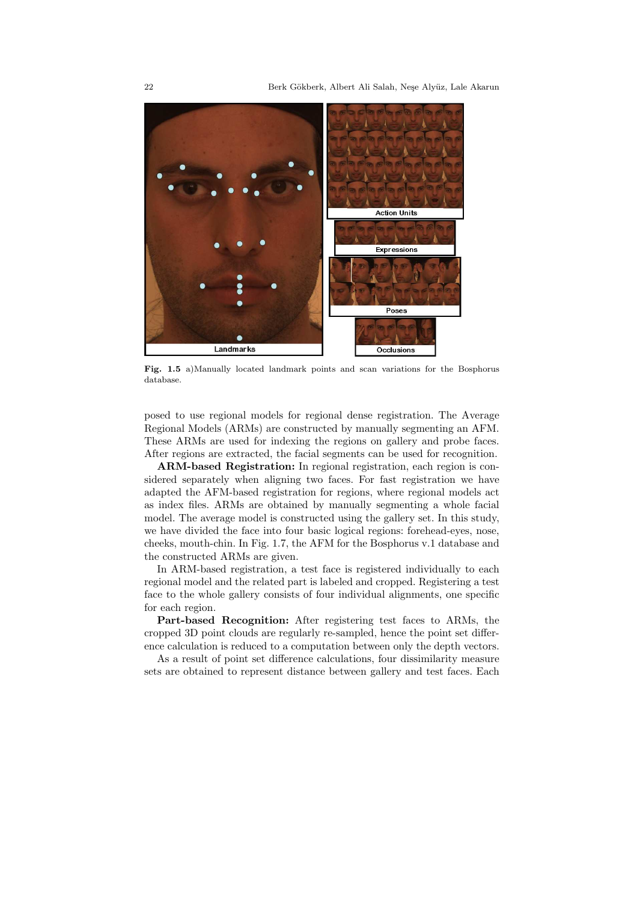

Fig. 1.5 a)Manually located landmark points and scan variations for the Bosphorus database.

posed to use regional models for regional dense registration. The Average Regional Models (ARMs) are constructed by manually segmenting an AFM. These ARMs are used for indexing the regions on gallery and probe faces. After regions are extracted, the facial segments can be used for recognition.

ARM-based Registration: In regional registration, each region is considered separately when aligning two faces. For fast registration we have adapted the AFM-based registration for regions, where regional models act as index files. ARMs are obtained by manually segmenting a whole facial model. The average model is constructed using the gallery set. In this study, we have divided the face into four basic logical regions: forehead-eyes, nose, cheeks, mouth-chin. In Fig. 1.7, the AFM for the Bosphorus v.1 database and the constructed ARMs are given.

In ARM-based registration, a test face is registered individually to each regional model and the related part is labeled and cropped. Registering a test face to the whole gallery consists of four individual alignments, one specific for each region.

Part-based Recognition: After registering test faces to ARMs, the cropped 3D point clouds are regularly re-sampled, hence the point set difference calculation is reduced to a computation between only the depth vectors.

As a result of point set difference calculations, four dissimilarity measure sets are obtained to represent distance between gallery and test faces. Each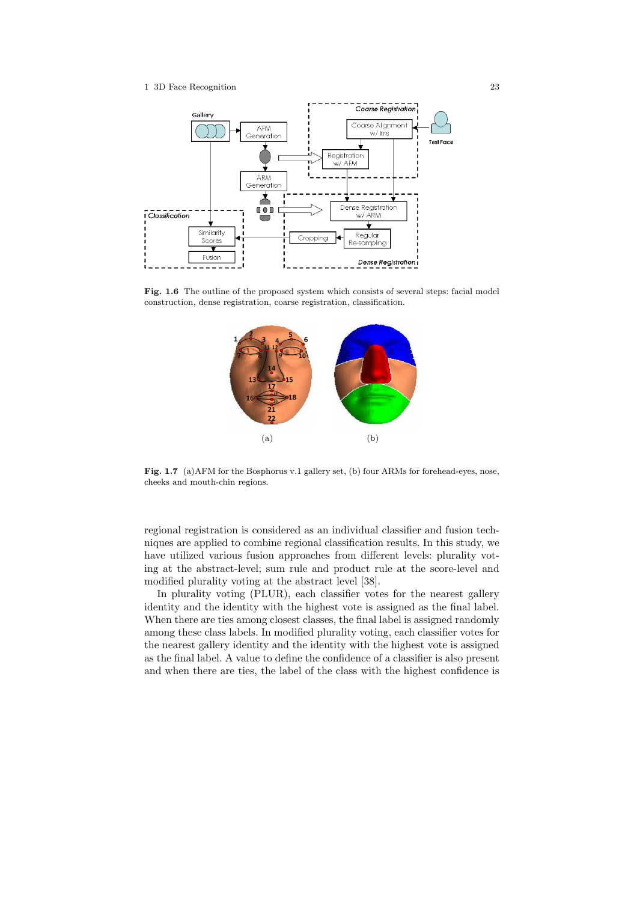

Fig. 1.6 The outline of the proposed system which consists of several steps: facial model construction, dense registration, coarse registration, classification.



Fig. 1.7 (a) AFM for the Bosphorus v.1 gallery set, (b) four ARMs for forehead-eyes, nose, cheeks and mouth-chin regions.

regional registration is considered as an individual classifier and fusion techniques are applied to combine regional classification results. In this study, we have utilized various fusion approaches from different levels: plurality voting at the abstract-level; sum rule and product rule at the score-level and modified plurality voting at the abstract level [38].

In plurality voting (PLUR), each classifier votes for the nearest gallery identity and the identity with the highest vote is assigned as the final label. When there are ties among closest classes, the final label is assigned randomly among these class labels. In modified plurality voting, each classifier votes for the nearest gallery identity and the identity with the highest vote is assigned as the final label. A value to define the confidence of a classifier is also present and when there are ties, the label of the class with the highest confidence is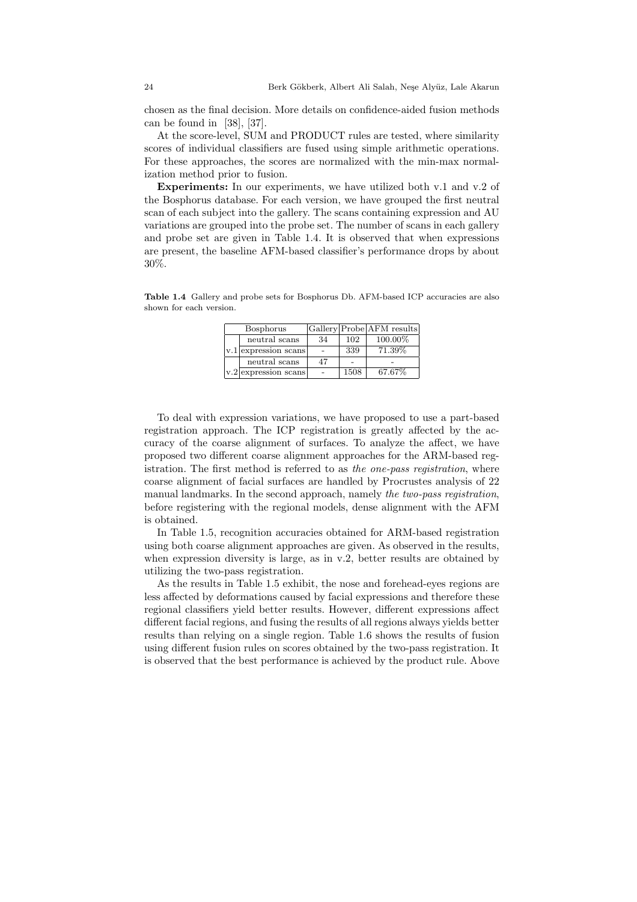chosen as the final decision. More details on confidence-aided fusion methods can be found in [38], [37].

At the score-level, SUM and PRODUCT rules are tested, where similarity scores of individual classifiers are fused using simple arithmetic operations. For these approaches, the scores are normalized with the min-max normalization method prior to fusion.

Experiments: In our experiments, we have utilized both v.1 and v.2 of the Bosphorus database. For each version, we have grouped the first neutral scan of each subject into the gallery. The scans containing expression and AU variations are grouped into the probe set. The number of scans in each gallery and probe set are given in Table 1.4. It is observed that when expressions are present, the baseline AFM-based classifier's performance drops by about 30%.

Table 1.4 Gallery and probe sets for Bosphorus Db. AFM-based ICP accuracies are also shown for each version.

| Bosphorus                |    |      | Gallery Probe AFM results |
|--------------------------|----|------|---------------------------|
| neutral scans            | 34 | 102  | 100.00%                   |
| $ v.1 $ expression scans |    | 339  | 71.39%                    |
| neutral scans            | 47 |      |                           |
| $ v.2 $ expression scans |    | 1508 | 67.67%                    |

To deal with expression variations, we have proposed to use a part-based registration approach. The ICP registration is greatly affected by the accuracy of the coarse alignment of surfaces. To analyze the affect, we have proposed two different coarse alignment approaches for the ARM-based registration. The first method is referred to as the one-pass registration, where coarse alignment of facial surfaces are handled by Procrustes analysis of 22 manual landmarks. In the second approach, namely the two-pass registration, before registering with the regional models, dense alignment with the AFM is obtained.

In Table 1.5, recognition accuracies obtained for ARM-based registration using both coarse alignment approaches are given. As observed in the results, when expression diversity is large, as in v.2, better results are obtained by utilizing the two-pass registration.

As the results in Table 1.5 exhibit, the nose and forehead-eyes regions are less affected by deformations caused by facial expressions and therefore these regional classifiers yield better results. However, different expressions affect different facial regions, and fusing the results of all regions always yields better results than relying on a single region. Table 1.6 shows the results of fusion using different fusion rules on scores obtained by the two-pass registration. It is observed that the best performance is achieved by the product rule. Above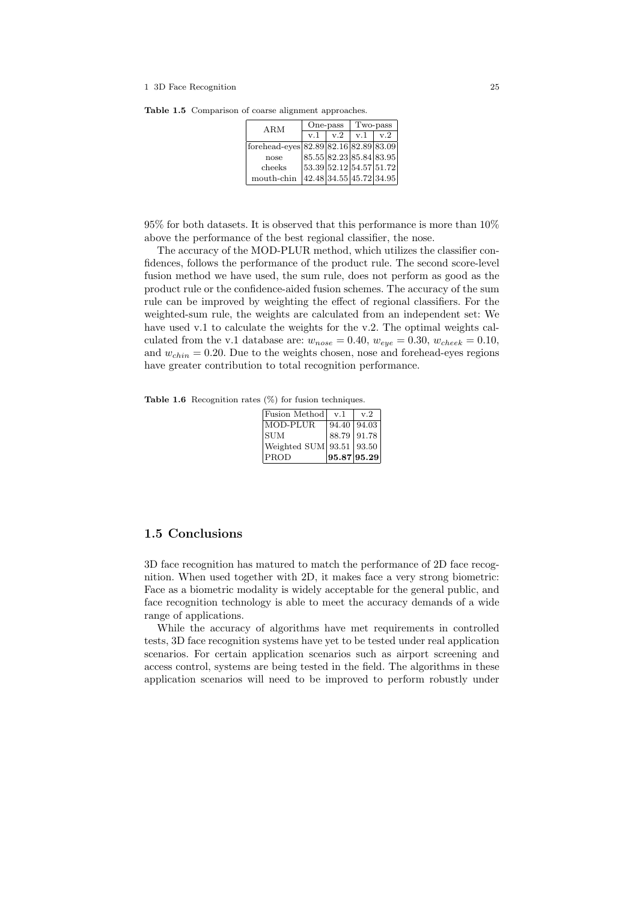| ARM                                   |                         | One-pass | Two-pass |     |  |
|---------------------------------------|-------------------------|----------|----------|-----|--|
|                                       | v.1                     | v.2      | v.1      | v.2 |  |
| forehead-eyes 82.89 82.16 82.89 83.09 |                         |          |          |     |  |
| nose                                  | 85.55 82.23 85.84 83.95 |          |          |     |  |
| cheeks                                | 53.39 52.12 54.57 51.72 |          |          |     |  |
| mouth-chin                            | 42.48 34.55 45.72 34.95 |          |          |     |  |

Table 1.5 Comparison of coarse alignment approaches.

95% for both datasets. It is observed that this performance is more than 10% above the performance of the best regional classifier, the nose.

The accuracy of the MOD-PLUR method, which utilizes the classifier confidences, follows the performance of the product rule. The second score-level fusion method we have used, the sum rule, does not perform as good as the product rule or the confidence-aided fusion schemes. The accuracy of the sum rule can be improved by weighting the effect of regional classifiers. For the weighted-sum rule, the weights are calculated from an independent set: We have used v.1 to calculate the weights for the v.2. The optimal weights calculated from the v.1 database are:  $w_{nose} = 0.40$ ,  $w_{eye} = 0.30$ ,  $w_{check} = 0.10$ , and  $w_{chin} = 0.20$ . Due to the weights chosen, nose and forehead-eyes regions have greater contribution to total recognition performance.

Table 1.6 Recognition rates  $(\%)$  for fusion techniques.

| Fusion Method               | v.1                          | v.2                     |
|-----------------------------|------------------------------|-------------------------|
| MOD-PLUR                    |                              | $94.40 \mid 94.03 \mid$ |
| <b>SUM</b>                  |                              | 88.79 91.78             |
| Weighted SUM  93.51   93.50 |                              |                         |
| <b>PROD</b>                 | $\left  95.87 \right  95.29$ |                         |

# 1.5 Conclusions

3D face recognition has matured to match the performance of 2D face recognition. When used together with 2D, it makes face a very strong biometric: Face as a biometric modality is widely acceptable for the general public, and face recognition technology is able to meet the accuracy demands of a wide range of applications.

While the accuracy of algorithms have met requirements in controlled tests, 3D face recognition systems have yet to be tested under real application scenarios. For certain application scenarios such as airport screening and access control, systems are being tested in the field. The algorithms in these application scenarios will need to be improved to perform robustly under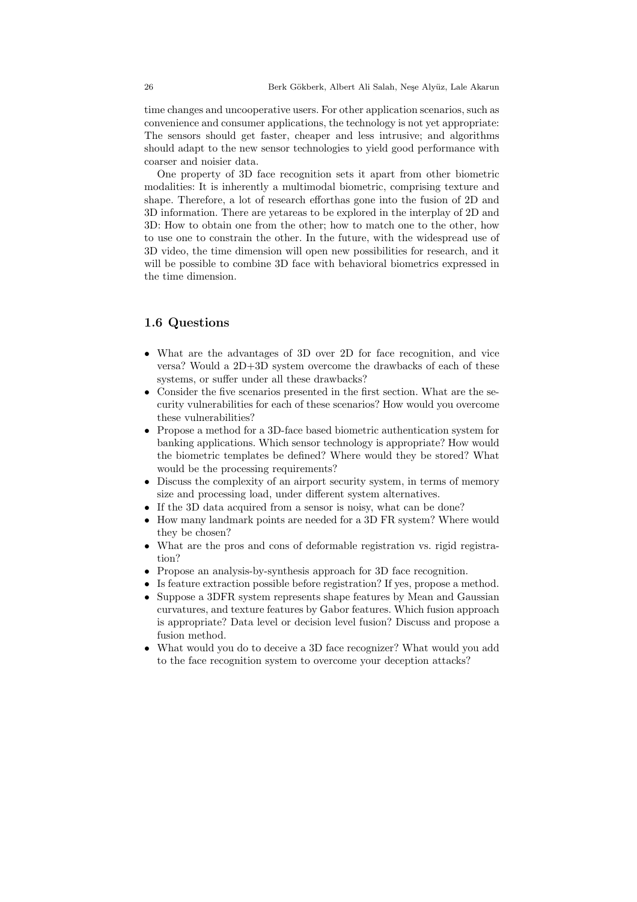time changes and uncooperative users. For other application scenarios, such as convenience and consumer applications, the technology is not yet appropriate: The sensors should get faster, cheaper and less intrusive; and algorithms should adapt to the new sensor technologies to yield good performance with coarser and noisier data.

One property of 3D face recognition sets it apart from other biometric modalities: It is inherently a multimodal biometric, comprising texture and shape. Therefore, a lot of research efforthas gone into the fusion of 2D and 3D information. There are yetareas to be explored in the interplay of 2D and 3D: How to obtain one from the other; how to match one to the other, how to use one to constrain the other. In the future, with the widespread use of 3D video, the time dimension will open new possibilities for research, and it will be possible to combine 3D face with behavioral biometrics expressed in the time dimension.

# 1.6 Questions

- What are the advantages of 3D over 2D for face recognition, and vice versa? Would a 2D+3D system overcome the drawbacks of each of these systems, or suffer under all these drawbacks?
- Consider the five scenarios presented in the first section. What are the security vulnerabilities for each of these scenarios? How would you overcome these vulnerabilities?
- Propose a method for a 3D-face based biometric authentication system for banking applications. Which sensor technology is appropriate? How would the biometric templates be defined? Where would they be stored? What would be the processing requirements?
- Discuss the complexity of an airport security system, in terms of memory size and processing load, under different system alternatives.
- If the 3D data acquired from a sensor is noisy, what can be done?
- How many landmark points are needed for a 3D FR system? Where would they be chosen?
- What are the pros and cons of deformable registration vs. rigid registration?
- Propose an analysis-by-synthesis approach for 3D face recognition.
- Is feature extraction possible before registration? If yes, propose a method.
- Suppose a 3DFR system represents shape features by Mean and Gaussian curvatures, and texture features by Gabor features. Which fusion approach is appropriate? Data level or decision level fusion? Discuss and propose a fusion method.
- What would you do to deceive a 3D face recognizer? What would you add to the face recognition system to overcome your deception attacks?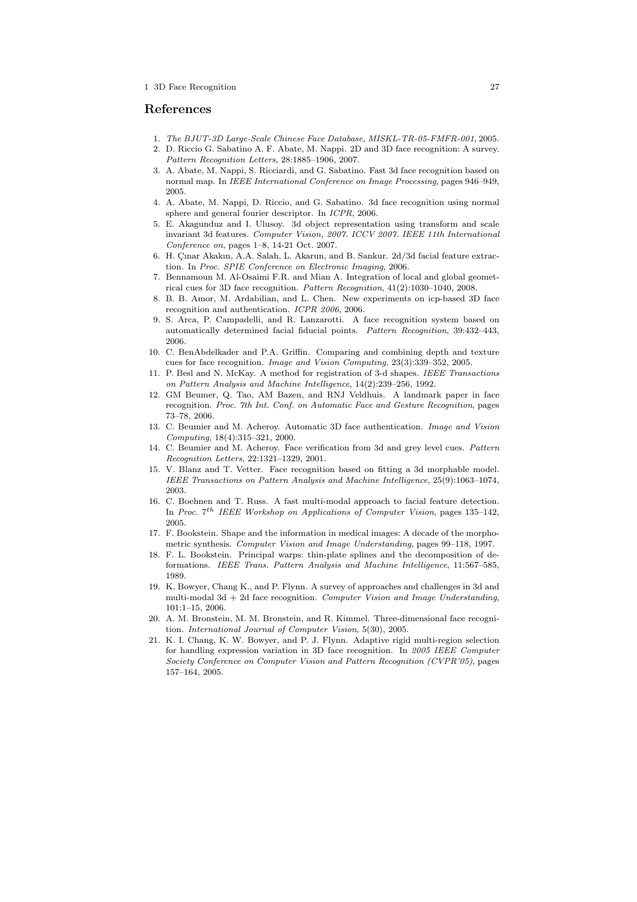## References

- 1. The BJUT-3D Large-Scale Chinese Face Database, MISKL-TR-05-FMFR-001, 2005.
- 2. D. Riccio G. Sabatino A. F. Abate, M. Nappi. 2D and 3D face recognition: A survey. Pattern Recognition Letters, 28:1885–1906, 2007.
- 3. A. Abate, M. Nappi, S. Ricciardi, and G. Sabatino. Fast 3d face recognition based on normal map. In IEEE International Conference on Image Processing, pages 946–949, 2005.
- 4. A. Abate, M. Nappi, D. Riccio, and G. Sabatino. 3d face recognition using normal sphere and general fourier descriptor. In ICPR, 2006.
- 5. E. Akagunduz and I. Ulusoy. 3d object representation using transform and scale invariant 3d features. Computer Vision, 2007. ICCV 2007. IEEE 11th International Conference on, pages 1–8, 14-21 Oct. 2007.
- 6. H. Cinar Akakın, A.A. Salah, L. Akarun, and B. Sankur. 2d/3d facial feature extraction. In Proc. SPIE Conference on Electronic Imaging, 2006.
- 7. Bennamoun M. Al-Osaimi F.R. and Mian A. Integration of local and global geometrical cues for 3D face recognition. Pattern Recognition, 41(2):1030–1040, 2008.
- 8. B. B. Amor, M. Ardabilian, and L. Chen. New experiments on icp-based 3D face recognition and authentication. ICPR 2006, 2006.
- 9. S. Arca, P. Campadelli, and R. Lanzarotti. A face recognition system based on automatically determined facial fiducial points. Pattern Recognition, 39:432–443, 2006.
- 10. C. BenAbdelkader and P.A. Griffin. Comparing and combining depth and texture cues for face recognition. Image and Vision Computing, 23(3):339–352, 2005.
- 11. P. Besl and N. McKay. A method for registration of 3-d shapes. IEEE Transactions on Pattern Analysis and Machine Intelligence, 14(2):239–256, 1992.
- 12. GM Beumer, Q. Tao, AM Bazen, and RNJ Veldhuis. A landmark paper in face recognition. Proc. 7th Int. Conf. on Automatic Face and Gesture Recognition, pages 73–78, 2006.
- 13. C. Beumier and M. Acheroy. Automatic 3D face authentication. Image and Vision Computing, 18(4):315–321, 2000.
- 14. C. Beumier and M. Acheroy. Face verification from 3d and grey level cues. Pattern Recognition Letters, 22:1321–1329, 2001.
- 15. V. Blanz and T. Vetter. Face recognition based on fitting a 3d morphable model. IEEE Transactions on Pattern Analysis and Machine Intelligence, 25(9):1063–1074, 2003.
- 16. C. Boehnen and T. Russ. A fast multi-modal approach to facial feature detection. In Proc.  $7^{th}$  IEEE Workshop on Applications of Computer Vision, pages 135-142, 2005.
- 17. F. Bookstein. Shape and the information in medical images: A decade of the morphometric synthesis. Computer Vision and Image Understanding, pages 99–118, 1997.
- 18. F. L. Bookstein. Principal warps: thin-plate splines and the decomposition of deformations. IEEE Trans. Pattern Analysis and Machine Intelligence, 11:567–585, 1989.
- 19. K. Bowyer, Chang K., and P. Flynn. A survey of approaches and challenges in 3d and multi-modal 3d  $+$  2d face recognition. Computer Vision and Image Understanding, 101:1–15, 2006.
- 20. A. M. Bronstein, M. M. Bronstein, and R. Kimmel. Three-dimensional face recognition. International Journal of Computer Vision, 5(30), 2005.
- 21. K. I. Chang, K. W. Bowyer, and P. J. Flynn. Adaptive rigid multi-region selection for handling expression variation in 3D face recognition. In 2005 IEEE Computer Society Conference on Computer Vision and Pattern Recognition (CVPR'05), pages 157–164, 2005.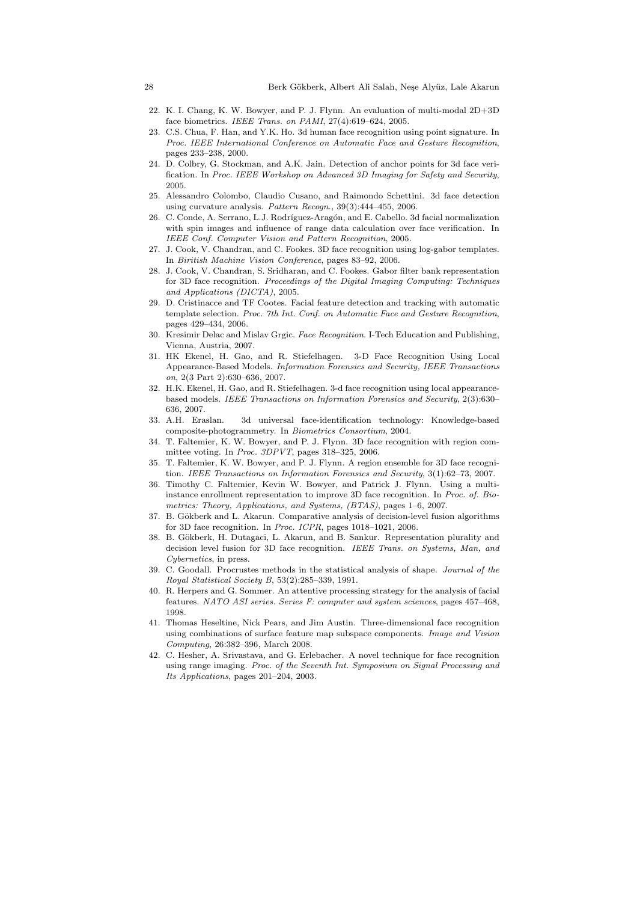- 22. K. I. Chang, K. W. Bowyer, and P. J. Flynn. An evaluation of multi-modal 2D+3D face biometrics. IEEE Trans. on PAMI, 27(4):619–624, 2005.
- 23. C.S. Chua, F. Han, and Y.K. Ho. 3d human face recognition using point signature. In Proc. IEEE International Conference on Automatic Face and Gesture Recognition, pages 233–238, 2000.
- 24. D. Colbry, G. Stockman, and A.K. Jain. Detection of anchor points for 3d face verification. In Proc. IEEE Workshop on Advanced 3D Imaging for Safety and Security, 2005.
- 25. Alessandro Colombo, Claudio Cusano, and Raimondo Schettini. 3d face detection using curvature analysis. Pattern Recogn., 39(3):444–455, 2006.
- 26. C. Conde, A. Serrano, L.J. Rodríguez-Aragón, and E. Cabello. 3d facial normalization with spin images and influence of range data calculation over face verification. In IEEE Conf. Computer Vision and Pattern Recognition, 2005.
- 27. J. Cook, V. Chandran, and C. Fookes. 3D face recognition using log-gabor templates. In Biritish Machine Vision Conference, pages 83–92, 2006.
- 28. J. Cook, V. Chandran, S. Sridharan, and C. Fookes. Gabor filter bank representation for 3D face recognition. Proceedings of the Digital Imaging Computing: Techniques and Applications (DICTA), 2005.
- 29. D. Cristinacce and TF Cootes. Facial feature detection and tracking with automatic template selection. Proc. 7th Int. Conf. on Automatic Face and Gesture Recognition, pages 429–434, 2006.
- 30. Kresimir Delac and Mislav Grgic. Face Recognition. I-Tech Education and Publishing, Vienna, Austria, 2007.
- 31. HK Ekenel, H. Gao, and R. Stiefelhagen. 3-D Face Recognition Using Local Appearance-Based Models. Information Forensics and Security, IEEE Transactions on, 2(3 Part 2):630–636, 2007.
- 32. H.K. Ekenel, H. Gao, and R. Stiefelhagen. 3-d face recognition using local appearancebased models. IEEE Transactions on Information Forensics and Security, 2(3):630– 636, 2007.
- 33. A.H. Eraslan. 3d universal face-identification technology: Knowledge-based composite-photogrammetry. In Biometrics Consortium, 2004.
- 34. T. Faltemier, K. W. Bowyer, and P. J. Flynn. 3D face recognition with region committee voting. In Proc. 3DPVT, pages 318–325, 2006.
- 35. T. Faltemier, K. W. Bowyer, and P. J. Flynn. A region ensemble for 3D face recognition. IEEE Transactions on Information Forensics and Security, 3(1):62–73, 2007.
- 36. Timothy C. Faltemier, Kevin W. Bowyer, and Patrick J. Flynn. Using a multiinstance enrollment representation to improve 3D face recognition. In Proc. of. Biometrics: Theory, Applications, and Systems, (BTAS), pages 1–6, 2007.
- 37. B. Gökberk and L. Akarun. Comparative analysis of decision-level fusion algorithms for 3D face recognition. In Proc. ICPR, pages 1018–1021, 2006.
- 38. B. Gökberk, H. Dutagaci, L. Akarun, and B. Sankur. Representation plurality and decision level fusion for 3D face recognition. IEEE Trans. on Systems, Man, and Cybernetics, in press.
- 39. C. Goodall. Procrustes methods in the statistical analysis of shape. Journal of the Royal Statistical Society B, 53(2):285–339, 1991.
- 40. R. Herpers and G. Sommer. An attentive processing strategy for the analysis of facial features. NATO ASI series. Series F: computer and system sciences, pages 457–468, 1998.
- 41. Thomas Heseltine, Nick Pears, and Jim Austin. Three-dimensional face recognition using combinations of surface feature map subspace components. Image and Vision Computing, 26:382–396, March 2008.
- 42. C. Hesher, A. Srivastava, and G. Erlebacher. A novel technique for face recognition using range imaging. Proc. of the Seventh Int. Symposium on Signal Processing and Its Applications, pages 201–204, 2003.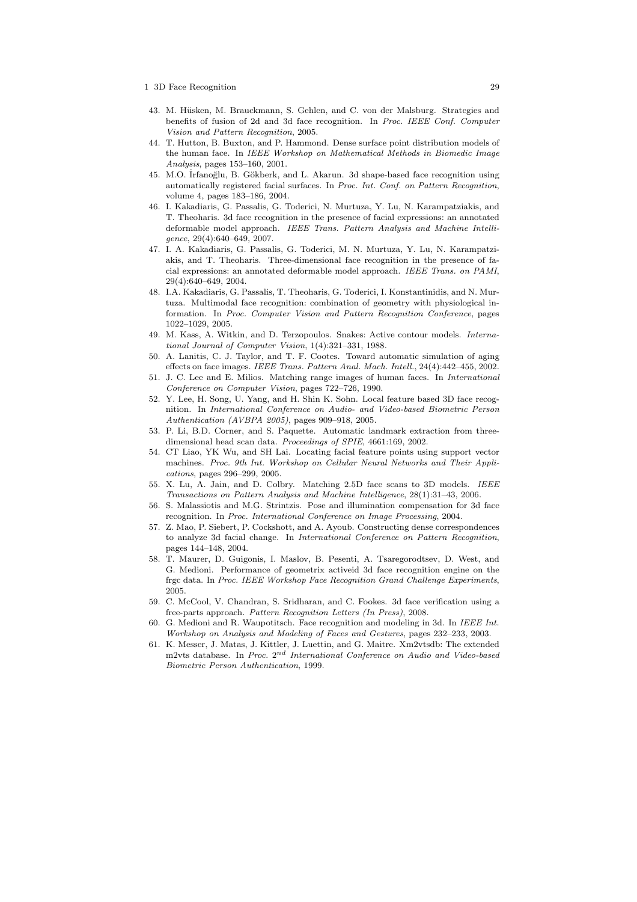- 43. M. Hüsken, M. Brauckmann, S. Gehlen, and C. von der Malsburg. Strategies and benefits of fusion of 2d and 3d face recognition. In Proc. IEEE Conf. Computer Vision and Pattern Recognition, 2005.
- 44. T. Hutton, B. Buxton, and P. Hammond. Dense surface point distribution models of the human face. In IEEE Workshop on Mathematical Methods in Biomedic Image Analysis, pages 153–160, 2001.
- 45. M.O. İrfanoğlu, B. Gökberk, and L. Akarun. 3d shape-based face recognition using automatically registered facial surfaces. In Proc. Int. Conf. on Pattern Recognition, volume 4, pages 183–186, 2004.
- 46. I. Kakadiaris, G. Passalis, G. Toderici, N. Murtuza, Y. Lu, N. Karampatziakis, and T. Theoharis. 3d face recognition in the presence of facial expressions: an annotated deformable model approach. IEEE Trans. Pattern Analysis and Machine Intelligence, 29(4):640–649, 2007.
- 47. I. A. Kakadiaris, G. Passalis, G. Toderici, M. N. Murtuza, Y. Lu, N. Karampatziakis, and T. Theoharis. Three-dimensional face recognition in the presence of facial expressions: an annotated deformable model approach. IEEE Trans. on PAMI, 29(4):640–649, 2004.
- 48. I.A. Kakadiaris, G. Passalis, T. Theoharis, G. Toderici, I. Konstantinidis, and N. Murtuza. Multimodal face recognition: combination of geometry with physiological information. In Proc. Computer Vision and Pattern Recognition Conference, pages 1022–1029, 2005.
- 49. M. Kass, A. Witkin, and D. Terzopoulos. Snakes: Active contour models. International Journal of Computer Vision, 1(4):321–331, 1988.
- 50. A. Lanitis, C. J. Taylor, and T. F. Cootes. Toward automatic simulation of aging effects on face images. IEEE Trans. Pattern Anal. Mach. Intell., 24(4):442–455, 2002.
- 51. J. C. Lee and E. Milios. Matching range images of human faces. In International Conference on Computer Vision, pages 722–726, 1990.
- 52. Y. Lee, H. Song, U. Yang, and H. Shin K. Sohn. Local feature based 3D face recognition. In International Conference on Audio- and Video-based Biometric Person Authentication (AVBPA 2005), pages 909–918, 2005.
- 53. P. Li, B.D. Corner, and S. Paquette. Automatic landmark extraction from threedimensional head scan data. Proceedings of SPIE, 4661:169, 2002.
- 54. CT Liao, YK Wu, and SH Lai. Locating facial feature points using support vector machines. Proc. 9th Int. Workshop on Cellular Neural Networks and Their Applications, pages 296–299, 2005.
- 55. X. Lu, A. Jain, and D. Colbry. Matching 2.5D face scans to 3D models. IEEE Transactions on Pattern Analysis and Machine Intelligence, 28(1):31–43, 2006.
- 56. S. Malassiotis and M.G. Strintzis. Pose and illumination compensation for 3d face recognition. In Proc. International Conference on Image Processing, 2004.
- 57. Z. Mao, P. Siebert, P. Cockshott, and A. Ayoub. Constructing dense correspondences to analyze 3d facial change. In International Conference on Pattern Recognition, pages 144–148, 2004.
- 58. T. Maurer, D. Guigonis, I. Maslov, B. Pesenti, A. Tsaregorodtsev, D. West, and G. Medioni. Performance of geometrix activeid 3d face recognition engine on the frgc data. In Proc. IEEE Workshop Face Recognition Grand Challenge Experiments, 2005.
- 59. C. McCool, V. Chandran, S. Sridharan, and C. Fookes. 3d face verification using a free-parts approach. Pattern Recognition Letters (In Press), 2008.
- 60. G. Medioni and R. Waupotitsch. Face recognition and modeling in 3d. In IEEE Int. Workshop on Analysis and Modeling of Faces and Gestures, pages 232–233, 2003.
- 61. K. Messer, J. Matas, J. Kittler, J. Luettin, and G. Maitre. Xm2vtsdb: The extended m2vts database. In Proc. 2<sup>nd</sup> International Conference on Audio and Video-based Biometric Person Authentication, 1999.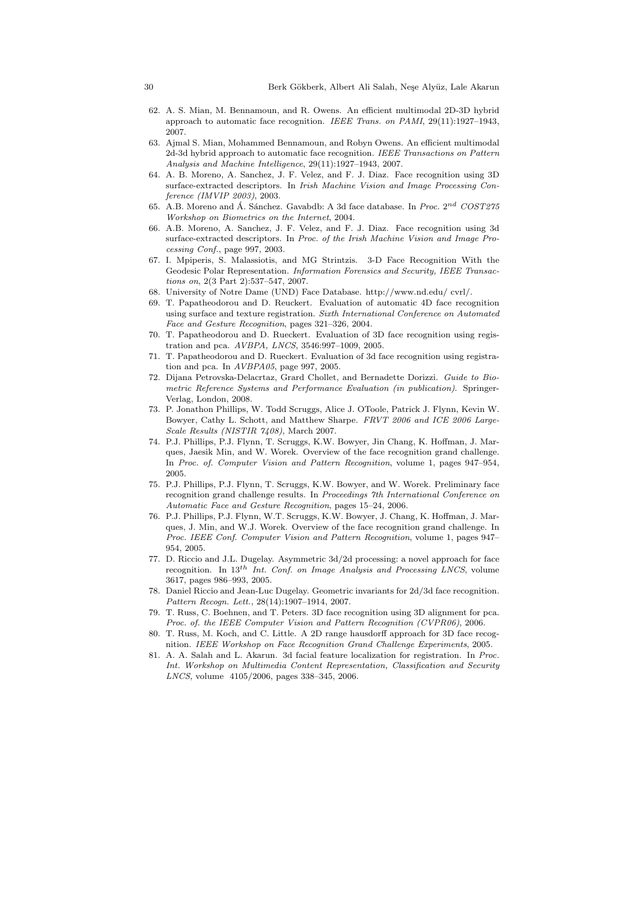- 62. A. S. Mian, M. Bennamoun, and R. Owens. An efficient multimodal 2D-3D hybrid approach to automatic face recognition. IEEE Trans. on PAMI, 29(11):1927–1943, 2007.
- 63. Ajmal S. Mian, Mohammed Bennamoun, and Robyn Owens. An efficient multimodal 2d-3d hybrid approach to automatic face recognition. IEEE Transactions on Pattern Analysis and Machine Intelligence, 29(11):1927–1943, 2007.
- 64. A. B. Moreno, A. Sanchez, J. F. Velez, and F. J. Diaz. Face recognition using 3D surface-extracted descriptors. In Irish Machine Vision and Image Processing Conference (IMVIP 2003), 2003.
- 65. A.B. Moreno and Á. Sánchez. Gavabdb: A 3d face database. In Proc.  $2^{nd}$  COST275 Workshop on Biometrics on the Internet, 2004.
- 66. A.B. Moreno, A. Sanchez, J. F. Velez, and F. J. Diaz. Face recognition using 3d surface-extracted descriptors. In Proc. of the Irish Machine Vision and Image Processing Conf., page 997, 2003.
- 67. I. Mpiperis, S. Malassiotis, and MG Strintzis. 3-D Face Recognition With the Geodesic Polar Representation. Information Forensics and Security, IEEE Transactions on, 2(3 Part 2):537–547, 2007.
- 68. University of Notre Dame (UND) Face Database. http://www.nd.edu/ cvrl/.
- 69. T. Papatheodorou and D. Reuckert. Evaluation of automatic 4D face recognition using surface and texture registration. Sixth International Conference on Automated Face and Gesture Recognition, pages 321–326, 2004.
- 70. T. Papatheodorou and D. Rueckert. Evaluation of 3D face recognition using registration and pca. AVBPA, LNCS, 3546:997–1009, 2005.
- 71. T. Papatheodorou and D. Rueckert. Evaluation of 3d face recognition using registration and pca. In AVBPA05, page 997, 2005.
- 72. Dijana Petrovska-Delacrtaz, Grard Chollet, and Bernadette Dorizzi. Guide to Biometric Reference Systems and Performance Evaluation (in publication). Springer-Verlag, London, 2008.
- 73. P. Jonathon Phillips, W. Todd Scruggs, Alice J. OToole, Patrick J. Flynn, Kevin W. Bowyer, Cathy L. Schott, and Matthew Sharpe. FRVT 2006 and ICE 2006 Large-Scale Results (NISTIR 7408), March 2007.
- 74. P.J. Phillips, P.J. Flynn, T. Scruggs, K.W. Bowyer, Jin Chang, K. Hoffman, J. Marques, Jaesik Min, and W. Worek. Overview of the face recognition grand challenge. In Proc. of. Computer Vision and Pattern Recognition, volume 1, pages 947–954, 2005.
- 75. P.J. Phillips, P.J. Flynn, T. Scruggs, K.W. Bowyer, and W. Worek. Preliminary face recognition grand challenge results. In Proceedings 7th International Conference on Automatic Face and Gesture Recognition, pages 15–24, 2006.
- 76. P.J. Phillips, P.J. Flynn, W.T. Scruggs, K.W. Bowyer, J. Chang, K. Hoffman, J. Marques, J. Min, and W.J. Worek. Overview of the face recognition grand challenge. In Proc. IEEE Conf. Computer Vision and Pattern Recognition, volume 1, pages 947– 954, 2005.
- 77. D. Riccio and J.L. Dugelay. Asymmetric 3d/2d processing: a novel approach for face recognition. In  $13^{th}$  Int. Conf. on Image Analysis and Processing LNCS, volume 3617, pages 986–993, 2005.
- 78. Daniel Riccio and Jean-Luc Dugelay. Geometric invariants for 2d/3d face recognition. Pattern Recogn. Lett., 28(14):1907–1914, 2007.
- 79. T. Russ, C. Boehnen, and T. Peters. 3D face recognition using 3D alignment for pca. Proc. of. the IEEE Computer Vision and Pattern Recognition (CVPR06), 2006.
- 80. T. Russ, M. Koch, and C. Little. A 2D range hausdorff approach for 3D face recognition. IEEE Workshop on Face Recognition Grand Challenge Experiments, 2005.
- 81. A. A. Salah and L. Akarun. 3d facial feature localization for registration. In Proc. Int. Workshop on Multimedia Content Representation, Classification and Security LNCS, volume 4105/2006, pages 338–345, 2006.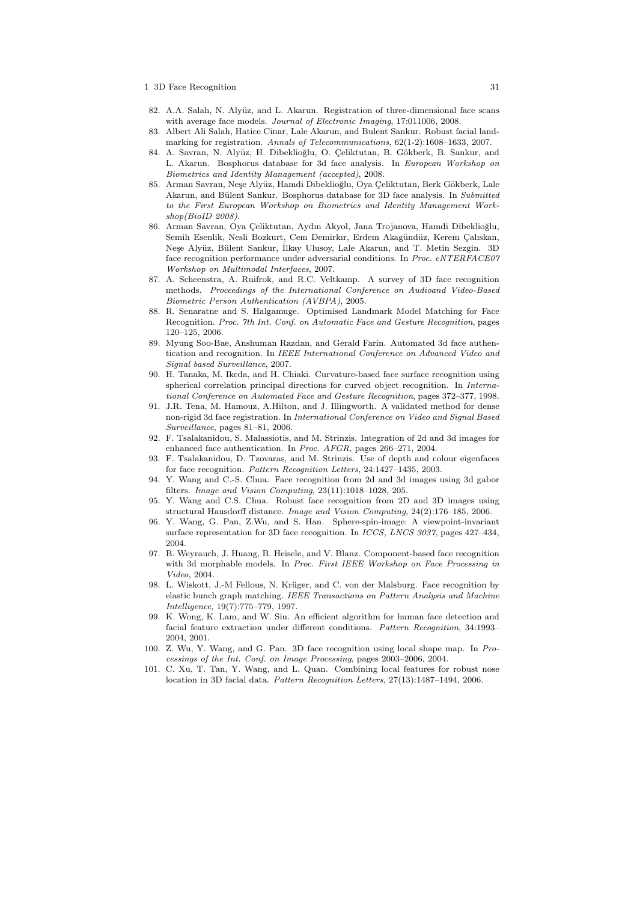- 82. A.A. Salah, N. Alyüz, and L. Akarun. Registration of three-dimensional face scans with average face models. Journal of Electronic Imaging, 17:011006, 2008.
- 83. Albert Ali Salah, Hatice Cinar, Lale Akarun, and Bulent Sankur. Robust facial landmarking for registration. Annals of Telecommunications, 62(1-2):1608–1633, 2007.
- 84. A. Savran, N. Alyüz, H. Dibeklioğlu, O. Çeliktutan, B. Gökberk, B. Sankur, and L. Akarun. Bosphorus database for 3d face analysis. In European Workshop on Biometrics and Identity Management (accepted), 2008.
- 85. Arman Savran, Neşe Alyüz, Hamdi Dibeklioğlu, Oya Çeliktutan, Berk Gökberk, Lale Akarun, and Bülent Sankur. Bosphorus database for 3D face analysis. In Submitted to the First European Workshop on Biometrics and Identity Management Workshop(BioID 2008).
- 86. Arman Savran, Oya Çeliktutan, Aydın Akyol, Jana Trojanova, Hamdi Dibeklioğlu, Semih Esenlik, Nesli Bozkurt, Cem Demirkır, Erdem Akagündüz, Kerem Çalıskan, Neşe Alyüz, Bülent Sankur, İlkay Ulusoy, Lale Akarun, and T. Metin Sezgin. 3D face recognition performance under adversarial conditions. In Proc. eNTERFACE07 Workshop on Multimodal Interfaces, 2007.
- 87. A. Scheenstra, A. Ruifrok, and R.C. Veltkamp. A survey of 3D face recognition methods. Proceedings of the International Conference on Audioand Video-Based Biometric Person Authentication (AVBPA), 2005.
- 88. R. Senaratne and S. Halgamuge. Optimised Landmark Model Matching for Face Recognition. Proc. 7th Int. Conf. on Automatic Face and Gesture Recognition, pages 120–125, 2006.
- 89. Myung Soo-Bae, Anshuman Razdan, and Gerald Farin. Automated 3d face authentication and recognition. In IEEE International Conference on Advanced Video and Signal based Surveillance, 2007.
- 90. H. Tanaka, M. Ikeda, and H. Chiaki. Curvature-based face surface recognition using spherical correlation principal directions for curved object recognition. In International Conference on Automated Face and Gesture Recognition, pages 372–377, 1998.
- 91. J.R. Tena, M. Hamouz, A.Hilton, and J. Illingworth. A validated method for dense non-rigid 3d face registration. In International Conference on Video and Signal Based Surveillance, pages 81–81, 2006.
- 92. F. Tsalakanidou, S. Malassiotis, and M. Strinzis. Integration of 2d and 3d images for enhanced face authentication. In Proc. AFGR, pages 266–271, 2004.
- 93. F. Tsalakanidou, D. Tzovaras, and M. Strinzis. Use of depth and colour eigenfaces for face recognition. Pattern Recognition Letters, 24:1427–1435, 2003.
- 94. Y. Wang and C.-S. Chua. Face recognition from 2d and 3d images using 3d gabor filters. Image and Vision Computing, 23(11):1018–1028, 205.
- 95. Y. Wang and C.S. Chua. Robust face recognition from 2D and 3D images using structural Hausdorff distance. Image and Vision Computing, 24(2):176–185, 2006.
- 96. Y. Wang, G. Pan, Z.Wu, and S. Han. Sphere-spin-image: A viewpoint-invariant surface representation for 3D face recognition. In ICCS, LNCS 3037, pages 427–434, 2004.
- 97. B. Weyrauch, J. Huang, B. Heisele, and V. Blanz. Component-based face recognition with 3d morphable models. In Proc. First IEEE Workshop on Face Processing in Video, 2004.
- 98. L. Wiskott, J.-M Fellous, N. Krüger, and C. von der Malsburg. Face recognition by elastic bunch graph matching. IEEE Transactions on Pattern Analysis and Machine Intelligence, 19(7):775–779, 1997.
- 99. K. Wong, K. Lam, and W. Siu. An efficient algorithm for human face detection and facial feature extraction under different conditions. Pattern Recognition, 34:1993– 2004, 2001.
- 100. Z. Wu, Y. Wang, and G. Pan. 3D face recognition using local shape map. In Processings of the Int. Conf. on Image Processing, pages 2003–2006, 2004.
- 101. C. Xu, T. Tan, Y. Wang, and L. Quan. Combining local features for robust nose location in 3D facial data. Pattern Recognition Letters, 27(13):1487–1494, 2006.

<sup>1 3</sup>D Face Recognition 31